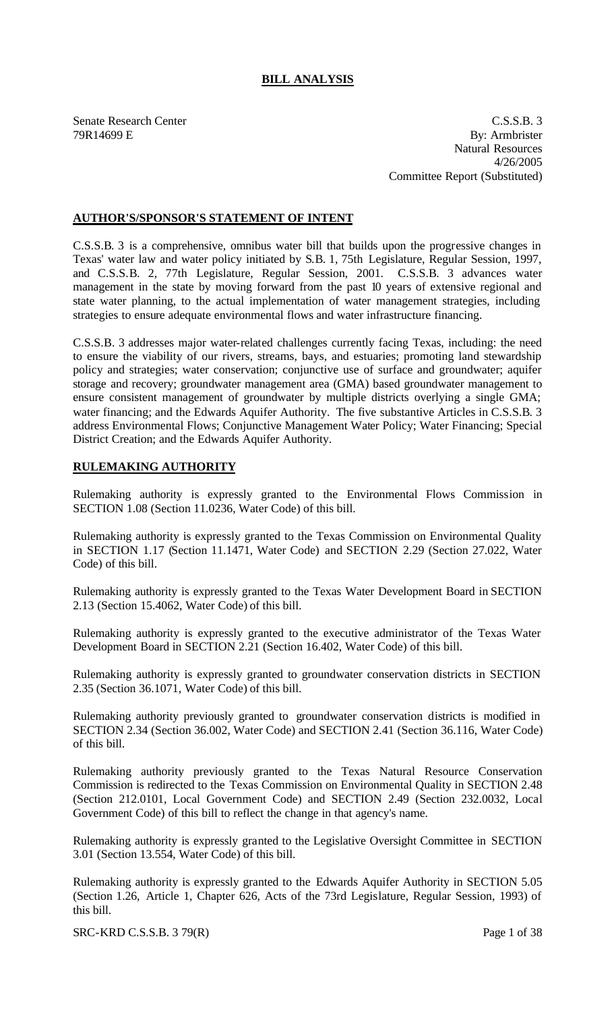# **BILL ANALYSIS**

Senate Research Center C.S.S.B. 3 79R14699 E By: Armbrister Natural Resources 4/26/2005 Committee Report (Substituted)

## **AUTHOR'S/SPONSOR'S STATEMENT OF INTENT**

C.S.S.B. 3 is a comprehensive, omnibus water bill that builds upon the progressive changes in Texas' water law and water policy initiated by S.B. 1, 75th Legislature, Regular Session, 1997, and C.S.S.B. 2, 77th Legislature, Regular Session, 2001. C.S.S.B. 3 advances water management in the state by moving forward from the past 10 years of extensive regional and state water planning, to the actual implementation of water management strategies, including strategies to ensure adequate environmental flows and water infrastructure financing.

C.S.S.B. 3 addresses major water-related challenges currently facing Texas, including: the need to ensure the viability of our rivers, streams, bays, and estuaries; promoting land stewardship policy and strategies; water conservation; conjunctive use of surface and groundwater; aquifer storage and recovery; groundwater management area (GMA) based groundwater management to ensure consistent management of groundwater by multiple districts overlying a single GMA; water financing; and the Edwards Aquifer Authority. The five substantive Articles in C.S.S.B. 3 address Environmental Flows; Conjunctive Management Water Policy; Water Financing; Special District Creation; and the Edwards Aquifer Authority.

#### **RULEMAKING AUTHORITY**

Rulemaking authority is expressly granted to the Environmental Flows Commission in SECTION 1.08 (Section 11.0236, Water Code) of this bill.

Rulemaking authority is expressly granted to the Texas Commission on Environmental Quality in SECTION 1.17 (Section 11.1471, Water Code) and SECTION 2.29 (Section 27.022, Water Code) of this bill.

Rulemaking authority is expressly granted to the Texas Water Development Board in SECTION 2.13 (Section 15.4062, Water Code) of this bill.

Rulemaking authority is expressly granted to the executive administrator of the Texas Water Development Board in SECTION 2.21 (Section 16.402, Water Code) of this bill.

Rulemaking authority is expressly granted to groundwater conservation districts in SECTION 2.35 (Section 36.1071, Water Code) of this bill.

Rulemaking authority previously granted to groundwater conservation districts is modified in SECTION 2.34 (Section 36.002, Water Code) and SECTION 2.41 (Section 36.116, Water Code) of this bill.

Rulemaking authority previously granted to the Texas Natural Resource Conservation Commission is redirected to the Texas Commission on Environmental Quality in SECTION 2.48 (Section 212.0101, Local Government Code) and SECTION 2.49 (Section 232.0032, Local Government Code) of this bill to reflect the change in that agency's name.

Rulemaking authority is expressly granted to the Legislative Oversight Committee in SECTION 3.01 (Section 13.554, Water Code) of this bill.

Rulemaking authority is expressly granted to the Edwards Aquifer Authority in SECTION 5.05 (Section 1.26, Article 1, Chapter 626, Acts of the 73rd Legislature, Regular Session, 1993) of this bill.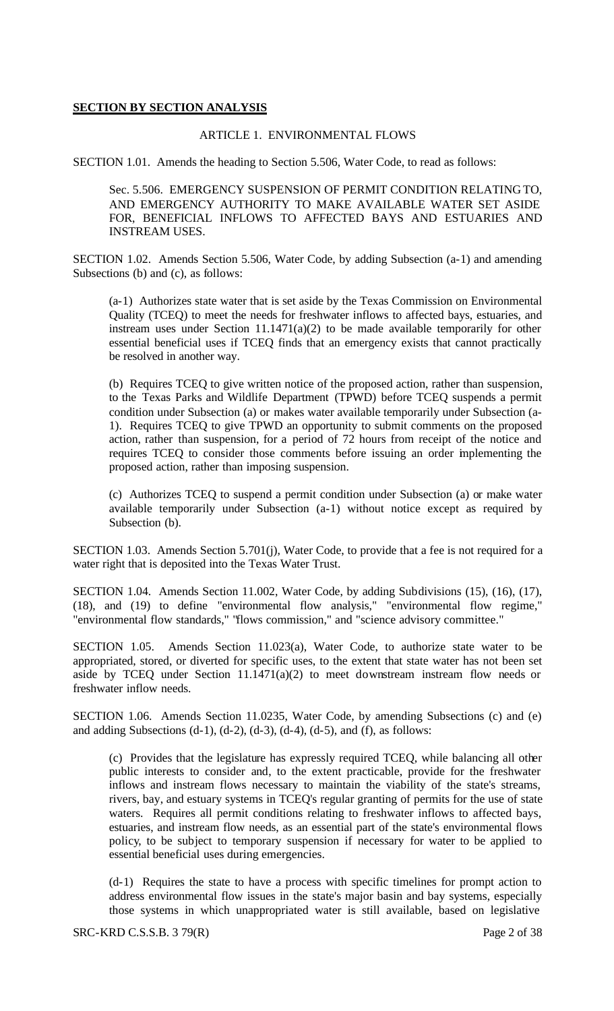## **SECTION BY SECTION ANALYSIS**

## ARTICLE 1. ENVIRONMENTAL FLOWS

SECTION 1.01. Amends the heading to Section 5.506, Water Code, to read as follows:

Sec. 5.506. EMERGENCY SUSPENSION OF PERMIT CONDITION RELATING TO, AND EMERGENCY AUTHORITY TO MAKE AVAILABLE WATER SET ASIDE FOR, BENEFICIAL INFLOWS TO AFFECTED BAYS AND ESTUARIES AND INSTREAM USES.

SECTION 1.02. Amends Section 5.506, Water Code, by adding Subsection (a-1) and amending Subsections (b) and (c), as follows:

(a-1) Authorizes state water that is set aside by the Texas Commission on Environmental Quality (TCEQ) to meet the needs for freshwater inflows to affected bays, estuaries, and instream uses under Section  $11.1471(a)(2)$  to be made available temporarily for other essential beneficial uses if TCEQ finds that an emergency exists that cannot practically be resolved in another way.

(b) Requires TCEQ to give written notice of the proposed action, rather than suspension, to the Texas Parks and Wildlife Department (TPWD) before TCEQ suspends a permit condition under Subsection (a) or makes water available temporarily under Subsection (a-1). Requires TCEQ to give TPWD an opportunity to submit comments on the proposed action, rather than suspension, for a period of 72 hours from receipt of the notice and requires TCEQ to consider those comments before issuing an order implementing the proposed action, rather than imposing suspension.

(c) Authorizes TCEQ to suspend a permit condition under Subsection (a) or make water available temporarily under Subsection (a-1) without notice except as required by Subsection (b).

SECTION 1.03. Amends Section 5.701(j), Water Code, to provide that a fee is not required for a water right that is deposited into the Texas Water Trust.

SECTION 1.04. Amends Section 11.002, Water Code, by adding Subdivisions (15), (16), (17), (18), and (19) to define "environmental flow analysis," "environmental flow regime," "environmental flow standards," "flows commission," and "science advisory committee."

SECTION 1.05. Amends Section 11.023(a), Water Code, to authorize state water to be appropriated, stored, or diverted for specific uses, to the extent that state water has not been set aside by TCEQ under Section 11.1471(a)(2) to meet downstream instream flow needs or freshwater inflow needs.

SECTION 1.06. Amends Section 11.0235, Water Code, by amending Subsections (c) and (e) and adding Subsections  $(d-1)$ ,  $(d-2)$ ,  $(d-3)$ ,  $(d-4)$ ,  $(d-5)$ , and  $(f)$ , as follows:

(c) Provides that the legislature has expressly required TCEQ, while balancing all other public interests to consider and, to the extent practicable, provide for the freshwater inflows and instream flows necessary to maintain the viability of the state's streams, rivers, bay, and estuary systems in TCEQ's regular granting of permits for the use of state waters. Requires all permit conditions relating to freshwater inflows to affected bays, estuaries, and instream flow needs, as an essential part of the state's environmental flows policy, to be subject to temporary suspension if necessary for water to be applied to essential beneficial uses during emergencies.

(d-1) Requires the state to have a process with specific timelines for prompt action to address environmental flow issues in the state's major basin and bay systems, especially those systems in which unappropriated water is still available, based on legislative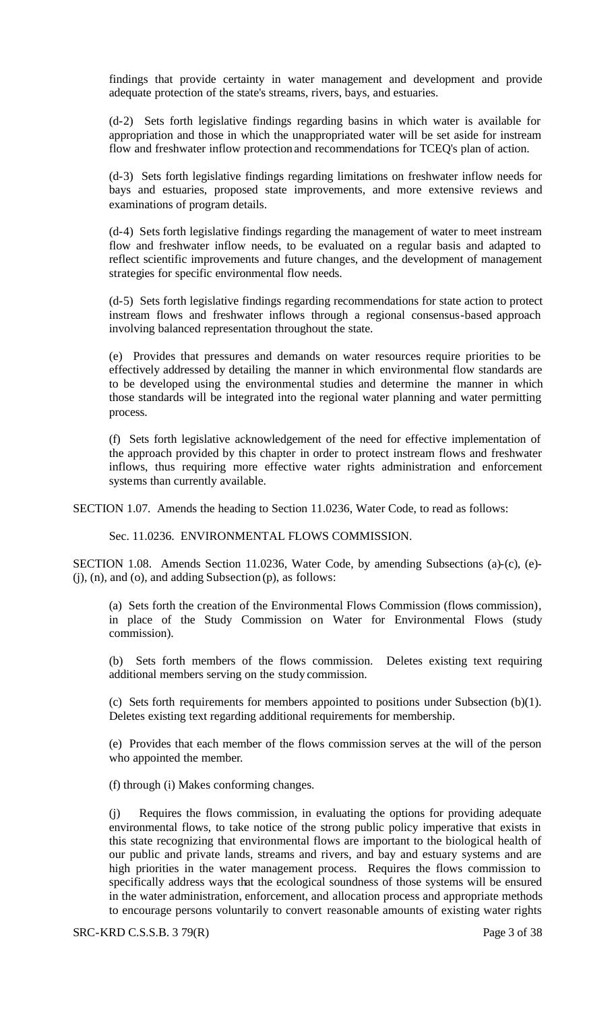findings that provide certainty in water management and development and provide adequate protection of the state's streams, rivers, bays, and estuaries.

(d-2) Sets forth legislative findings regarding basins in which water is available for appropriation and those in which the unappropriated water will be set aside for instream flow and freshwater inflow protection and recommendations for TCEQ's plan of action.

(d-3) Sets forth legislative findings regarding limitations on freshwater inflow needs for bays and estuaries, proposed state improvements, and more extensive reviews and examinations of program details.

(d-4) Sets forth legislative findings regarding the management of water to meet instream flow and freshwater inflow needs, to be evaluated on a regular basis and adapted to reflect scientific improvements and future changes, and the development of management strategies for specific environmental flow needs.

(d-5) Sets forth legislative findings regarding recommendations for state action to protect instream flows and freshwater inflows through a regional consensus-based approach involving balanced representation throughout the state.

(e) Provides that pressures and demands on water resources require priorities to be effectively addressed by detailing the manner in which environmental flow standards are to be developed using the environmental studies and determine the manner in which those standards will be integrated into the regional water planning and water permitting process.

(f) Sets forth legislative acknowledgement of the need for effective implementation of the approach provided by this chapter in order to protect instream flows and freshwater inflows, thus requiring more effective water rights administration and enforcement systems than currently available.

SECTION 1.07. Amends the heading to Section 11.0236, Water Code, to read as follows:

Sec. 11.0236. ENVIRONMENTAL FLOWS COMMISSION.

SECTION 1.08. Amends Section 11.0236, Water Code, by amending Subsections (a)-(c), (e)- (j), (n), and (o), and adding Subsection (p), as follows:

(a) Sets forth the creation of the Environmental Flows Commission (flows commission), in place of the Study Commission on Water for Environmental Flows (study commission).

(b) Sets forth members of the flows commission. Deletes existing text requiring additional members serving on the study commission.

(c) Sets forth requirements for members appointed to positions under Subsection (b)(1). Deletes existing text regarding additional requirements for membership.

(e) Provides that each member of the flows commission serves at the will of the person who appointed the member.

(f) through (i) Makes conforming changes.

(j) Requires the flows commission, in evaluating the options for providing adequate environmental flows, to take notice of the strong public policy imperative that exists in this state recognizing that environmental flows are important to the biological health of our public and private lands, streams and rivers, and bay and estuary systems and are high priorities in the water management process. Requires the flows commission to specifically address ways that the ecological soundness of those systems will be ensured in the water administration, enforcement, and allocation process and appropriate methods to encourage persons voluntarily to convert reasonable amounts of existing water rights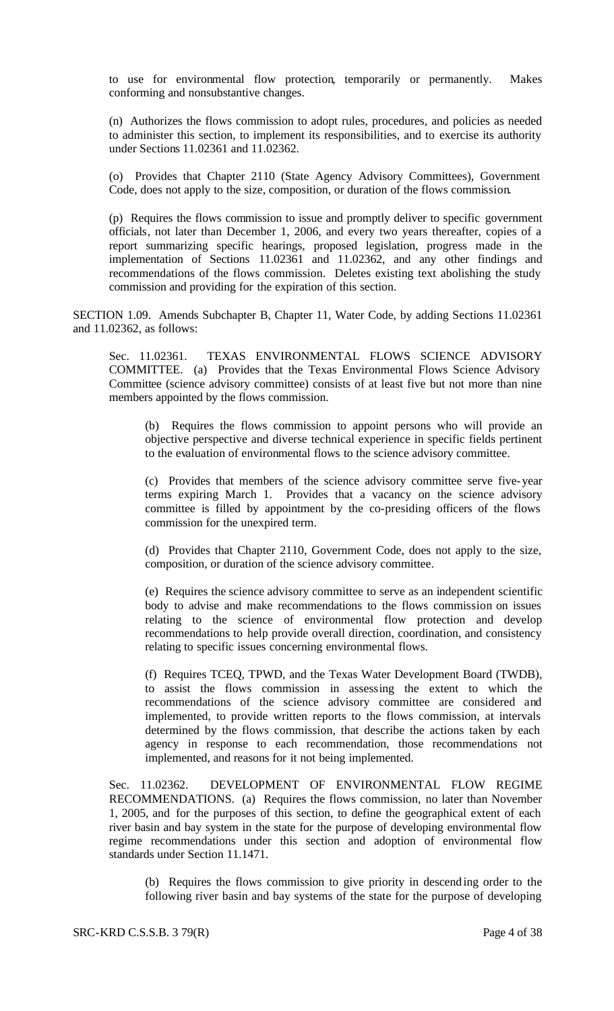to use for environmental flow protection, temporarily or permanently. Makes conforming and nonsubstantive changes.

(n) Authorizes the flows commission to adopt rules, procedures, and policies as needed to administer this section, to implement its responsibilities, and to exercise its authority under Sections 11.02361 and 11.02362.

(o) Provides that Chapter 2110 (State Agency Advisory Committees), Government Code, does not apply to the size, composition, or duration of the flows commission.

(p) Requires the flows commission to issue and promptly deliver to specific government officials, not later than December 1, 2006, and every two years thereafter, copies of a report summarizing specific hearings, proposed legislation, progress made in the implementation of Sections 11.02361 and 11.02362, and any other findings and recommendations of the flows commission. Deletes existing text abolishing the study commission and providing for the expiration of this section.

SECTION 1.09. Amends Subchapter B, Chapter 11, Water Code, by adding Sections 11.02361 and 11.02362, as follows:

Sec. 11.02361. TEXAS ENVIRONMENTAL FLOWS SCIENCE ADVISORY COMMITTEE. (a) Provides that the Texas Environmental Flows Science Advisory Committee (science advisory committee) consists of at least five but not more than nine members appointed by the flows commission.

(b) Requires the flows commission to appoint persons who will provide an objective perspective and diverse technical experience in specific fields pertinent to the evaluation of environmental flows to the science advisory committee.

(c) Provides that members of the science advisory committee serve five-year terms expiring March 1. Provides that a vacancy on the science advisory committee is filled by appointment by the co-presiding officers of the flows commission for the unexpired term.

(d) Provides that Chapter 2110, Government Code, does not apply to the size, composition, or duration of the science advisory committee.

(e) Requires the science advisory committee to serve as an independent scientific body to advise and make recommendations to the flows commission on issues relating to the science of environmental flow protection and develop recommendations to help provide overall direction, coordination, and consistency relating to specific issues concerning environmental flows.

(f) Requires TCEQ, TPWD, and the Texas Water Development Board (TWDB), to assist the flows commission in assessing the extent to which the recommendations of the science advisory committee are considered and implemented, to provide written reports to the flows commission, at intervals determined by the flows commission, that describe the actions taken by each agency in response to each recommendation, those recommendations not implemented, and reasons for it not being implemented.

Sec. 11.02362. DEVELOPMENT OF ENVIRONMENTAL FLOW REGIME RECOMMENDATIONS. (a) Requires the flows commission, no later than November 1, 2005, and for the purposes of this section, to define the geographical extent of each river basin and bay system in the state for the purpose of developing environmental flow regime recommendations under this section and adoption of environmental flow standards under Section 11.1471.

(b) Requires the flows commission to give priority in descending order to the following river basin and bay systems of the state for the purpose of developing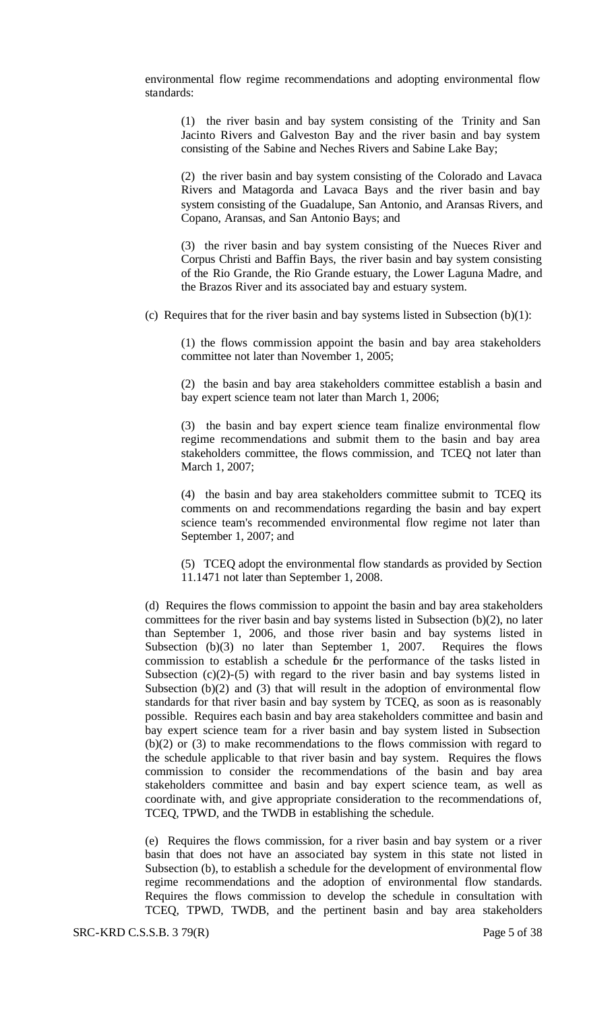environmental flow regime recommendations and adopting environmental flow standards:

(1) the river basin and bay system consisting of the Trinity and San Jacinto Rivers and Galveston Bay and the river basin and bay system consisting of the Sabine and Neches Rivers and Sabine Lake Bay;

(2) the river basin and bay system consisting of the Colorado and Lavaca Rivers and Matagorda and Lavaca Bays and the river basin and bay system consisting of the Guadalupe, San Antonio, and Aransas Rivers, and Copano, Aransas, and San Antonio Bays; and

(3) the river basin and bay system consisting of the Nueces River and Corpus Christi and Baffin Bays, the river basin and bay system consisting of the Rio Grande, the Rio Grande estuary, the Lower Laguna Madre, and the Brazos River and its associated bay and estuary system.

(c) Requires that for the river basin and bay systems listed in Subsection  $(b)(1)$ :

(1) the flows commission appoint the basin and bay area stakeholders committee not later than November 1, 2005;

(2) the basin and bay area stakeholders committee establish a basin and bay expert science team not later than March 1, 2006;

(3) the basin and bay expert science team finalize environmental flow regime recommendations and submit them to the basin and bay area stakeholders committee, the flows commission, and TCEQ not later than March 1, 2007;

(4) the basin and bay area stakeholders committee submit to TCEQ its comments on and recommendations regarding the basin and bay expert science team's recommended environmental flow regime not later than September 1, 2007; and

(5) TCEQ adopt the environmental flow standards as provided by Section 11.1471 not later than September 1, 2008.

(d) Requires the flows commission to appoint the basin and bay area stakeholders committees for the river basin and bay systems listed in Subsection (b)(2), no later than September 1, 2006, and those river basin and bay systems listed in Subsection (b)(3) no later than September 1, 2007. Requires the flows commission to establish a schedule for the performance of the tasks listed in Subsection  $(c)(2)-(5)$  with regard to the river basin and bay systems listed in Subsection  $(b)(2)$  and  $(3)$  that will result in the adoption of environmental flow standards for that river basin and bay system by TCEQ, as soon as is reasonably possible. Requires each basin and bay area stakeholders committee and basin and bay expert science team for a river basin and bay system listed in Subsection (b)(2) or (3) to make recommendations to the flows commission with regard to the schedule applicable to that river basin and bay system. Requires the flows commission to consider the recommendations of the basin and bay area stakeholders committee and basin and bay expert science team, as well as coordinate with, and give appropriate consideration to the recommendations of, TCEQ, TPWD, and the TWDB in establishing the schedule.

(e) Requires the flows commission, for a river basin and bay system or a river basin that does not have an associated bay system in this state not listed in Subsection (b), to establish a schedule for the development of environmental flow regime recommendations and the adoption of environmental flow standards. Requires the flows commission to develop the schedule in consultation with TCEQ, TPWD, TWDB, and the pertinent basin and bay area stakeholders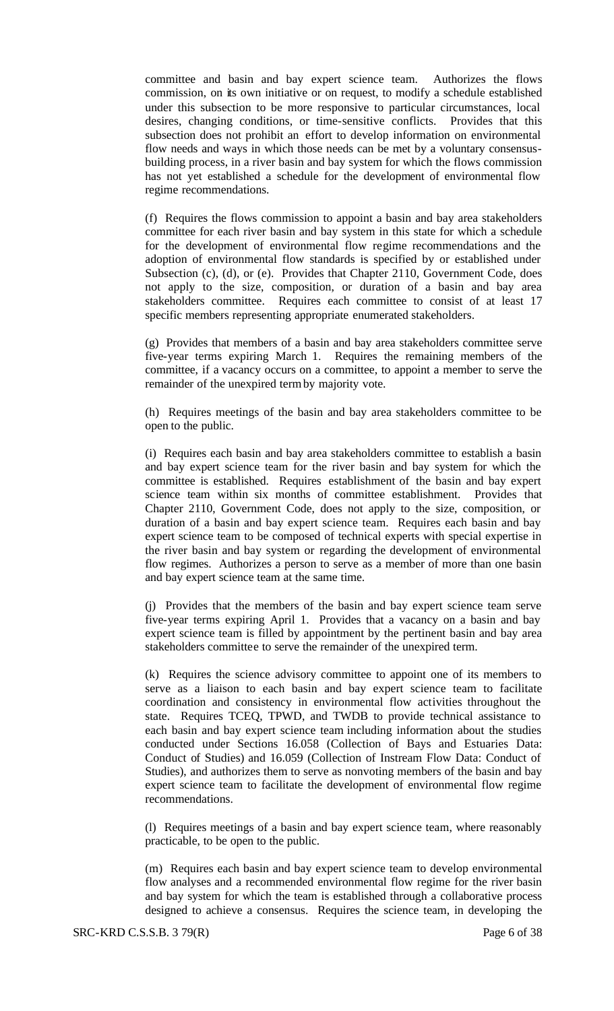committee and basin and bay expert science team. Authorizes the flows commission, on its own initiative or on request, to modify a schedule established under this subsection to be more responsive to particular circumstances, local desires, changing conditions, or time-sensitive conflicts. Provides that this subsection does not prohibit an effort to develop information on environmental flow needs and ways in which those needs can be met by a voluntary consensusbuilding process, in a river basin and bay system for which the flows commission has not yet established a schedule for the development of environmental flow regime recommendations.

(f) Requires the flows commission to appoint a basin and bay area stakeholders committee for each river basin and bay system in this state for which a schedule for the development of environmental flow regime recommendations and the adoption of environmental flow standards is specified by or established under Subsection (c), (d), or (e). Provides that Chapter 2110, Government Code, does not apply to the size, composition, or duration of a basin and bay area stakeholders committee. Requires each committee to consist of at least 17 specific members representing appropriate enumerated stakeholders.

(g) Provides that members of a basin and bay area stakeholders committee serve five-year terms expiring March 1. Requires the remaining members of the committee, if a vacancy occurs on a committee, to appoint a member to serve the remainder of the unexpired termby majority vote.

(h) Requires meetings of the basin and bay area stakeholders committee to be open to the public.

(i) Requires each basin and bay area stakeholders committee to establish a basin and bay expert science team for the river basin and bay system for which the committee is established. Requires establishment of the basin and bay expert science team within six months of committee establishment. Provides that Chapter 2110, Government Code, does not apply to the size, composition, or duration of a basin and bay expert science team. Requires each basin and bay expert science team to be composed of technical experts with special expertise in the river basin and bay system or regarding the development of environmental flow regimes. Authorizes a person to serve as a member of more than one basin and bay expert science team at the same time.

(j) Provides that the members of the basin and bay expert science team serve five-year terms expiring April 1. Provides that a vacancy on a basin and bay expert science team is filled by appointment by the pertinent basin and bay area stakeholders committee to serve the remainder of the unexpired term.

(k) Requires the science advisory committee to appoint one of its members to serve as a liaison to each basin and bay expert science team to facilitate coordination and consistency in environmental flow activities throughout the state. Requires TCEQ, TPWD, and TWDB to provide technical assistance to each basin and bay expert science team including information about the studies conducted under Sections 16.058 (Collection of Bays and Estuaries Data: Conduct of Studies) and 16.059 (Collection of Instream Flow Data: Conduct of Studies), and authorizes them to serve as nonvoting members of the basin and bay expert science team to facilitate the development of environmental flow regime recommendations.

(l) Requires meetings of a basin and bay expert science team, where reasonably practicable, to be open to the public.

(m) Requires each basin and bay expert science team to develop environmental flow analyses and a recommended environmental flow regime for the river basin and bay system for which the team is established through a collaborative process designed to achieve a consensus. Requires the science team, in developing the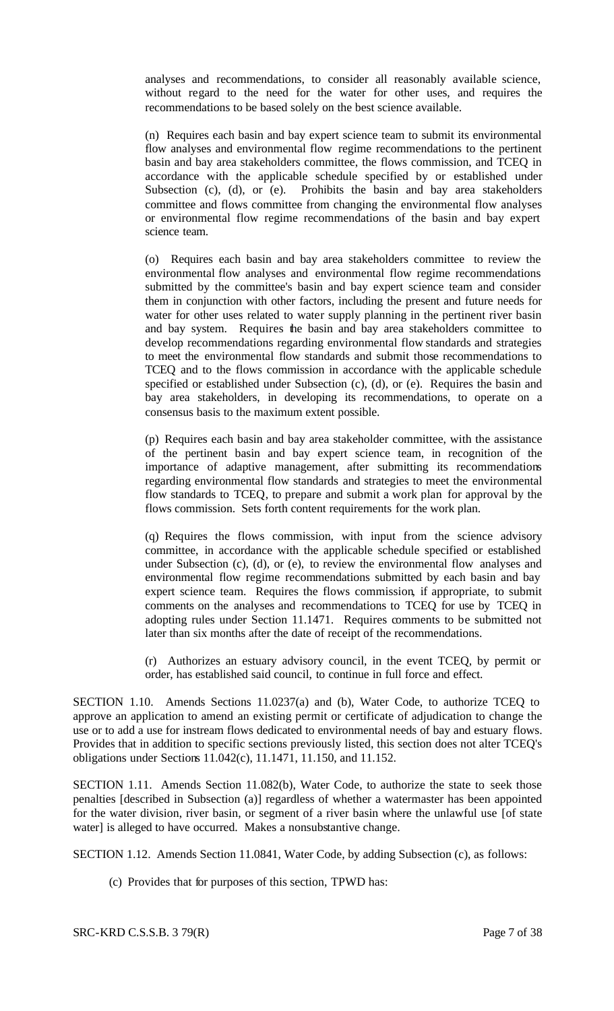analyses and recommendations, to consider all reasonably available science, without regard to the need for the water for other uses, and requires the recommendations to be based solely on the best science available.

(n) Requires each basin and bay expert science team to submit its environmental flow analyses and environmental flow regime recommendations to the pertinent basin and bay area stakeholders committee, the flows commission, and TCEQ in accordance with the applicable schedule specified by or established under Subsection (c), (d), or (e). Prohibits the basin and bay area stakeholders committee and flows committee from changing the environmental flow analyses or environmental flow regime recommendations of the basin and bay expert science team.

(o) Requires each basin and bay area stakeholders committee to review the environmental flow analyses and environmental flow regime recommendations submitted by the committee's basin and bay expert science team and consider them in conjunction with other factors, including the present and future needs for water for other uses related to water supply planning in the pertinent river basin and bay system. Requires the basin and bay area stakeholders committee to develop recommendations regarding environmental flow standards and strategies to meet the environmental flow standards and submit those recommendations to TCEQ and to the flows commission in accordance with the applicable schedule specified or established under Subsection (c), (d), or (e). Requires the basin and bay area stakeholders, in developing its recommendations, to operate on a consensus basis to the maximum extent possible.

(p) Requires each basin and bay area stakeholder committee, with the assistance of the pertinent basin and bay expert science team, in recognition of the importance of adaptive management, after submitting its recommendations regarding environmental flow standards and strategies to meet the environmental flow standards to TCEQ, to prepare and submit a work plan for approval by the flows commission. Sets forth content requirements for the work plan.

(q) Requires the flows commission, with input from the science advisory committee, in accordance with the applicable schedule specified or established under Subsection (c), (d), or (e), to review the environmental flow analyses and environmental flow regime recommendations submitted by each basin and bay expert science team. Requires the flows commission, if appropriate, to submit comments on the analyses and recommendations to TCEQ for use by TCEQ in adopting rules under Section 11.1471. Requires comments to be submitted not later than six months after the date of receipt of the recommendations.

(r) Authorizes an estuary advisory council, in the event TCEQ, by permit or order, has established said council, to continue in full force and effect.

SECTION 1.10. Amends Sections 11.0237(a) and (b), Water Code, to authorize TCEQ to approve an application to amend an existing permit or certificate of adjudication to change the use or to add a use for instream flows dedicated to environmental needs of bay and estuary flows. Provides that in addition to specific sections previously listed, this section does not alter TCEQ's obligations under Sections 11.042(c), 11.1471, 11.150, and 11.152.

SECTION 1.11. Amends Section 11.082(b), Water Code, to authorize the state to seek those penalties [described in Subsection (a)] regardless of whether a watermaster has been appointed for the water division, river basin, or segment of a river basin where the unlawful use [of state water] is alleged to have occurred. Makes a nonsubstantive change.

SECTION 1.12. Amends Section 11.0841, Water Code, by adding Subsection (c), as follows:

(c) Provides that for purposes of this section, TPWD has: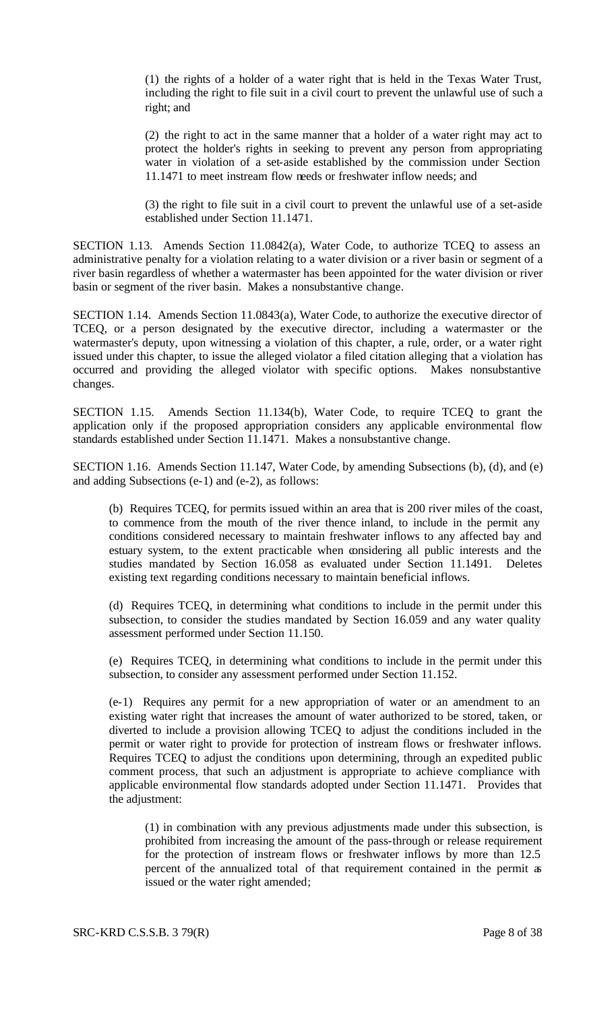(1) the rights of a holder of a water right that is held in the Texas Water Trust, including the right to file suit in a civil court to prevent the unlawful use of such a right; and

(2) the right to act in the same manner that a holder of a water right may act to protect the holder's rights in seeking to prevent any person from appropriating water in violation of a set-aside established by the commission under Section 11.1471 to meet instream flow needs or freshwater inflow needs; and

(3) the right to file suit in a civil court to prevent the unlawful use of a set-aside established under Section 11.1471.

SECTION 1.13. Amends Section 11.0842(a), Water Code, to authorize TCEQ to assess an administrative penalty for a violation relating to a water division or a river basin or segment of a river basin regardless of whether a watermaster has been appointed for the water division or river basin or segment of the river basin. Makes a nonsubstantive change.

SECTION 1.14. Amends Section 11.0843(a), Water Code, to authorize the executive director of TCEQ, or a person designated by the executive director, including a watermaster or the watermaster's deputy, upon witnessing a violation of this chapter, a rule, order, or a water right issued under this chapter, to issue the alleged violator a filed citation alleging that a violation has occurred and providing the alleged violator with specific options. Makes nonsubstantive changes.

SECTION 1.15. Amends Section 11.134(b), Water Code, to require TCEQ to grant the application only if the proposed appropriation considers any applicable environmental flow standards established under Section 11.1471. Makes a nonsubstantive change.

SECTION 1.16. Amends Section 11.147, Water Code, by amending Subsections (b), (d), and (e) and adding Subsections (e-1) and (e-2), as follows:

(b) Requires TCEQ, for permits issued within an area that is 200 river miles of the coast, to commence from the mouth of the river thence inland, to include in the permit any conditions considered necessary to maintain freshwater inflows to any affected bay and estuary system, to the extent practicable when considering all public interests and the studies mandated by Section 16.058 as evaluated under Section 11.1491. Deletes existing text regarding conditions necessary to maintain beneficial inflows.

(d) Requires TCEQ, in determining what conditions to include in the permit under this subsection, to consider the studies mandated by Section 16.059 and any water quality assessment performed under Section 11.150.

(e) Requires TCEQ, in determining what conditions to include in the permit under this subsection, to consider any assessment performed under Section 11.152.

(e-1) Requires any permit for a new appropriation of water or an amendment to an existing water right that increases the amount of water authorized to be stored, taken, or diverted to include a provision allowing TCEQ to adjust the conditions included in the permit or water right to provide for protection of instream flows or freshwater inflows. Requires TCEQ to adjust the conditions upon determining, through an expedited public comment process, that such an adjustment is appropriate to achieve compliance with applicable environmental flow standards adopted under Section 11.1471. Provides that the adjustment:

(1) in combination with any previous adjustments made under this subsection, is prohibited from increasing the amount of the pass-through or release requirement for the protection of instream flows or freshwater inflows by more than 12.5 percent of the annualized total of that requirement contained in the permit as issued or the water right amended;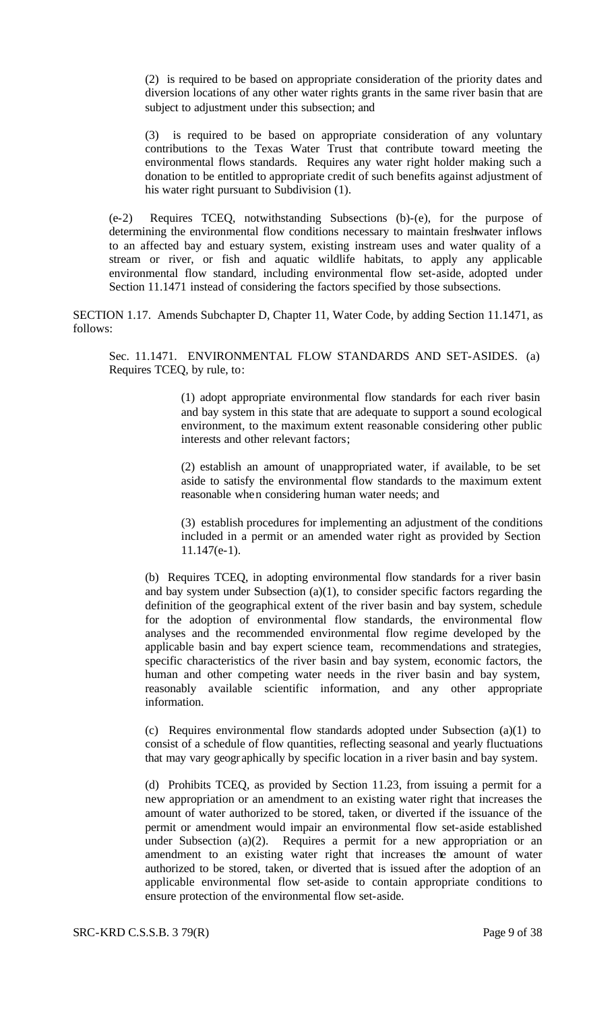(2) is required to be based on appropriate consideration of the priority dates and diversion locations of any other water rights grants in the same river basin that are subject to adjustment under this subsection; and

(3) is required to be based on appropriate consideration of any voluntary contributions to the Texas Water Trust that contribute toward meeting the environmental flows standards. Requires any water right holder making such a donation to be entitled to appropriate credit of such benefits against adjustment of his water right pursuant to Subdivision (1).

(e-2) Requires TCEQ, notwithstanding Subsections (b)-(e), for the purpose of determining the environmental flow conditions necessary to maintain freshwater inflows to an affected bay and estuary system, existing instream uses and water quality of a stream or river, or fish and aquatic wildlife habitats, to apply any applicable environmental flow standard, including environmental flow set-aside, adopted under Section 11.1471 instead of considering the factors specified by those subsections.

SECTION 1.17. Amends Subchapter D, Chapter 11, Water Code, by adding Section 11.1471, as follows:

Sec. 11.1471. ENVIRONMENTAL FLOW STANDARDS AND SET-ASIDES. (a) Requires TCEQ, by rule, to:

> (1) adopt appropriate environmental flow standards for each river basin and bay system in this state that are adequate to support a sound ecological environment, to the maximum extent reasonable considering other public interests and other relevant factors;

> (2) establish an amount of unappropriated water, if available, to be set aside to satisfy the environmental flow standards to the maximum extent reasonable when considering human water needs; and

> (3) establish procedures for implementing an adjustment of the conditions included in a permit or an amended water right as provided by Section 11.147(e-1).

(b) Requires TCEQ, in adopting environmental flow standards for a river basin and bay system under Subsection (a)(1), to consider specific factors regarding the definition of the geographical extent of the river basin and bay system, schedule for the adoption of environmental flow standards, the environmental flow analyses and the recommended environmental flow regime developed by the applicable basin and bay expert science team, recommendations and strategies, specific characteristics of the river basin and bay system, economic factors, the human and other competing water needs in the river basin and bay system, reasonably available scientific information, and any other appropriate information.

(c) Requires environmental flow standards adopted under Subsection (a)(1) to consist of a schedule of flow quantities, reflecting seasonal and yearly fluctuations that may vary geographically by specific location in a river basin and bay system.

(d) Prohibits TCEQ, as provided by Section 11.23, from issuing a permit for a new appropriation or an amendment to an existing water right that increases the amount of water authorized to be stored, taken, or diverted if the issuance of the permit or amendment would impair an environmental flow set-aside established under Subsection (a)(2). Requires a permit for a new appropriation or an amendment to an existing water right that increases the amount of water authorized to be stored, taken, or diverted that is issued after the adoption of an applicable environmental flow set-aside to contain appropriate conditions to ensure protection of the environmental flow set-aside.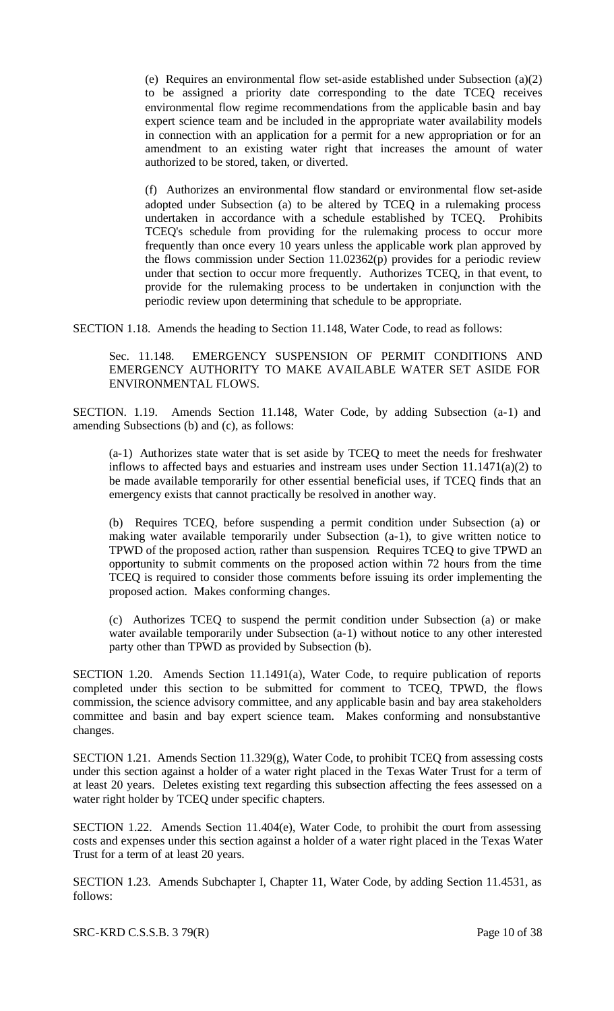(e) Requires an environmental flow set-aside established under Subsection (a)(2) to be assigned a priority date corresponding to the date TCEQ receives environmental flow regime recommendations from the applicable basin and bay expert science team and be included in the appropriate water availability models in connection with an application for a permit for a new appropriation or for an amendment to an existing water right that increases the amount of water authorized to be stored, taken, or diverted.

(f) Authorizes an environmental flow standard or environmental flow set-aside adopted under Subsection (a) to be altered by TCEQ in a rulemaking process undertaken in accordance with a schedule established by TCEQ. Prohibits TCEQ's schedule from providing for the rulemaking process to occur more frequently than once every 10 years unless the applicable work plan approved by the flows commission under Section 11.02362(p) provides for a periodic review under that section to occur more frequently. Authorizes TCEQ, in that event, to provide for the rulemaking process to be undertaken in conjunction with the periodic review upon determining that schedule to be appropriate.

SECTION 1.18. Amends the heading to Section 11.148, Water Code, to read as follows:

Sec. 11.148. EMERGENCY SUSPENSION OF PERMIT CONDITIONS AND EMERGENCY AUTHORITY TO MAKE AVAILABLE WATER SET ASIDE FOR ENVIRONMENTAL FLOWS.

SECTION. 1.19. Amends Section 11.148, Water Code, by adding Subsection (a-1) and amending Subsections (b) and (c), as follows:

(a-1) Authorizes state water that is set aside by TCEQ to meet the needs for freshwater inflows to affected bays and estuaries and instream uses under Section 11.1471(a)(2) to be made available temporarily for other essential beneficial uses, if TCEQ finds that an emergency exists that cannot practically be resolved in another way.

(b) Requires TCEQ, before suspending a permit condition under Subsection (a) or making water available temporarily under Subsection (a-1), to give written notice to TPWD of the proposed action, rather than suspension. Requires TCEQ to give TPWD an opportunity to submit comments on the proposed action within 72 hours from the time TCEQ is required to consider those comments before issuing its order implementing the proposed action. Makes conforming changes.

(c) Authorizes TCEQ to suspend the permit condition under Subsection (a) or make water available temporarily under Subsection (a-1) without notice to any other interested party other than TPWD as provided by Subsection (b).

SECTION 1.20. Amends Section 11.1491(a), Water Code, to require publication of reports completed under this section to be submitted for comment to TCEQ, TPWD, the flows commission, the science advisory committee, and any applicable basin and bay area stakeholders committee and basin and bay expert science team. Makes conforming and nonsubstantive changes.

SECTION 1.21. Amends Section 11.329(g), Water Code, to prohibit TCEQ from assessing costs under this section against a holder of a water right placed in the Texas Water Trust for a term of at least 20 years. Deletes existing text regarding this subsection affecting the fees assessed on a water right holder by TCEQ under specific chapters.

SECTION 1.22. Amends Section 11.404(e), Water Code, to prohibit the court from assessing costs and expenses under this section against a holder of a water right placed in the Texas Water Trust for a term of at least 20 years.

SECTION 1.23. Amends Subchapter I, Chapter 11, Water Code, by adding Section 11.4531, as follows: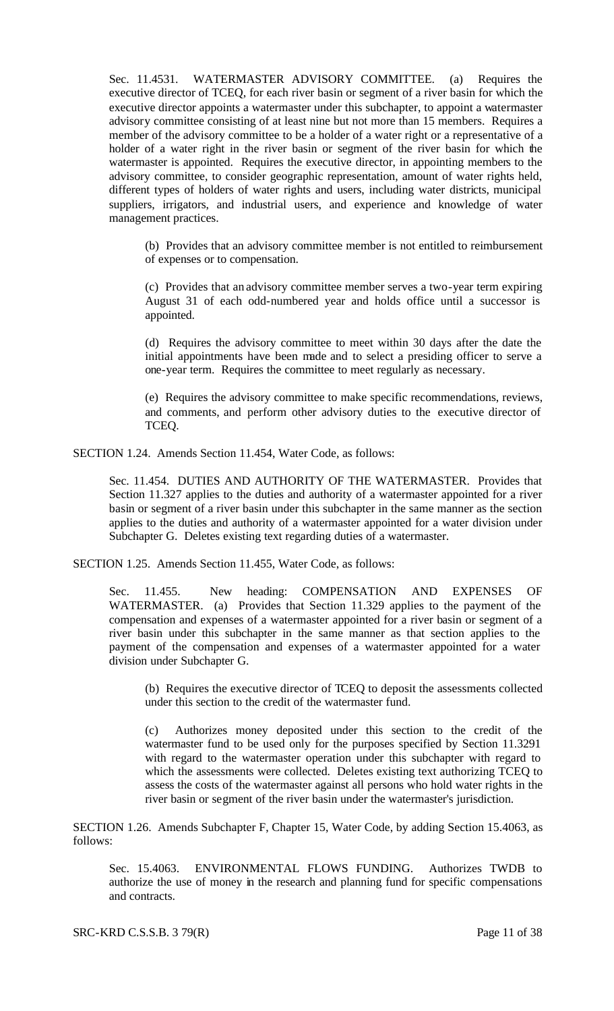Sec. 11.4531. WATERMASTER ADVISORY COMMITTEE. (a) Requires the executive director of TCEQ, for each river basin or segment of a river basin for which the executive director appoints a watermaster under this subchapter, to appoint a watermaster advisory committee consisting of at least nine but not more than 15 members. Requires a member of the advisory committee to be a holder of a water right or a representative of a holder of a water right in the river basin or segment of the river basin for which the watermaster is appointed. Requires the executive director, in appointing members to the advisory committee, to consider geographic representation, amount of water rights held, different types of holders of water rights and users, including water districts, municipal suppliers, irrigators, and industrial users, and experience and knowledge of water management practices.

(b) Provides that an advisory committee member is not entitled to reimbursement of expenses or to compensation.

(c) Provides that an advisory committee member serves a two-year term expiring August 31 of each odd-numbered year and holds office until a successor is appointed.

(d) Requires the advisory committee to meet within 30 days after the date the initial appointments have been made and to select a presiding officer to serve a one-year term. Requires the committee to meet regularly as necessary.

(e) Requires the advisory committee to make specific recommendations, reviews, and comments, and perform other advisory duties to the executive director of TCEQ.

SECTION 1.24. Amends Section 11.454, Water Code, as follows:

Sec. 11.454. DUTIES AND AUTHORITY OF THE WATERMASTER. Provides that Section 11.327 applies to the duties and authority of a watermaster appointed for a river basin or segment of a river basin under this subchapter in the same manner as the section applies to the duties and authority of a watermaster appointed for a water division under Subchapter G. Deletes existing text regarding duties of a watermaster.

SECTION 1.25. Amends Section 11.455, Water Code, as follows:

Sec. 11.455. New heading: COMPENSATION AND EXPENSES OF WATERMASTER. (a) Provides that Section 11.329 applies to the payment of the compensation and expenses of a watermaster appointed for a river basin or segment of a river basin under this subchapter in the same manner as that section applies to the payment of the compensation and expenses of a watermaster appointed for a water division under Subchapter G.

(b) Requires the executive director of TCEQ to deposit the assessments collected under this section to the credit of the watermaster fund.

(c) Authorizes money deposited under this section to the credit of the watermaster fund to be used only for the purposes specified by Section 11.3291 with regard to the watermaster operation under this subchapter with regard to which the assessments were collected. Deletes existing text authorizing TCEQ to assess the costs of the watermaster against all persons who hold water rights in the river basin or segment of the river basin under the watermaster's jurisdiction.

SECTION 1.26. Amends Subchapter F, Chapter 15, Water Code, by adding Section 15.4063, as follows:

Sec. 15.4063. ENVIRONMENTAL FLOWS FUNDING. Authorizes TWDB to authorize the use of money in the research and planning fund for specific compensations and contracts.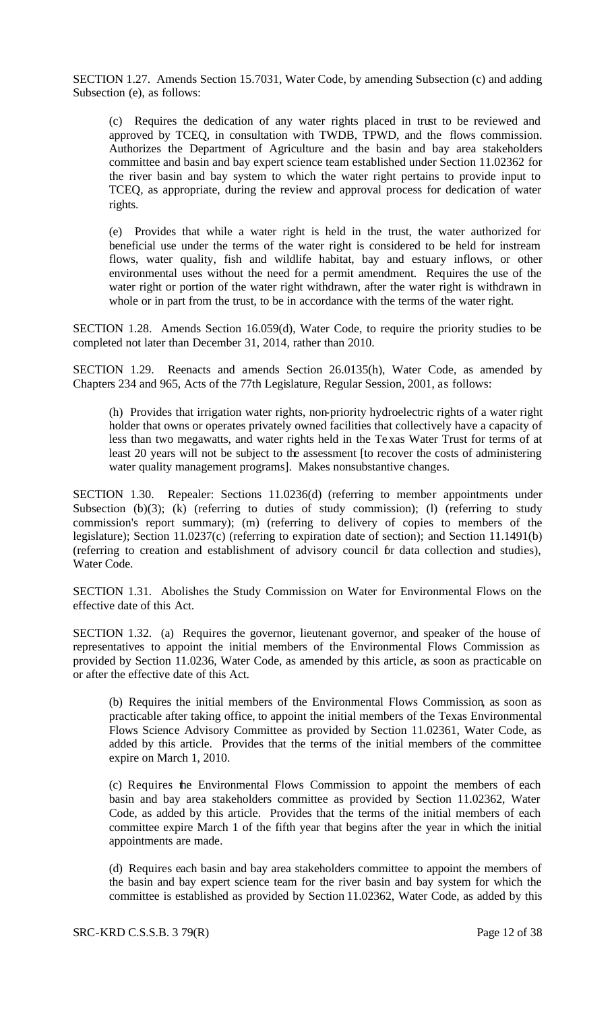SECTION 1.27. Amends Section 15.7031, Water Code, by amending Subsection (c) and adding Subsection (e), as follows:

(c) Requires the dedication of any water rights placed in trust to be reviewed and approved by TCEQ, in consultation with TWDB, TPWD, and the flows commission. Authorizes the Department of Agriculture and the basin and bay area stakeholders committee and basin and bay expert science team established under Section 11.02362 for the river basin and bay system to which the water right pertains to provide input to TCEQ, as appropriate, during the review and approval process for dedication of water rights.

(e) Provides that while a water right is held in the trust, the water authorized for beneficial use under the terms of the water right is considered to be held for instream flows, water quality, fish and wildlife habitat, bay and estuary inflows, or other environmental uses without the need for a permit amendment. Requires the use of the water right or portion of the water right withdrawn, after the water right is withdrawn in whole or in part from the trust, to be in accordance with the terms of the water right.

SECTION 1.28. Amends Section 16.059(d), Water Code, to require the priority studies to be completed not later than December 31, 2014, rather than 2010.

SECTION 1.29. Reenacts and amends Section 26.0135(h), Water Code, as amended by Chapters 234 and 965, Acts of the 77th Legislature, Regular Session, 2001, as follows:

(h) Provides that irrigation water rights, non-priority hydroelectric rights of a water right holder that owns or operates privately owned facilities that collectively have a capacity of less than two megawatts, and water rights held in the Texas Water Trust for terms of at least 20 years will not be subject to the assessment [to recover the costs of administering water quality management programs]. Makes nonsubstantive changes.

SECTION 1.30. Repealer: Sections 11.0236(d) (referring to member appointments under Subsection (b)(3); (k) (referring to duties of study commission); (l) (referring to study commission's report summary); (m) (referring to delivery of copies to members of the legislature); Section 11.0237(c) (referring to expiration date of section); and Section 11.1491(b) (referring to creation and establishment of advisory council for data collection and studies), Water Code.

SECTION 1.31. Abolishes the Study Commission on Water for Environmental Flows on the effective date of this Act.

SECTION 1.32. (a) Requires the governor, lieutenant governor, and speaker of the house of representatives to appoint the initial members of the Environmental Flows Commission as provided by Section 11.0236, Water Code, as amended by this article, as soon as practicable on or after the effective date of this Act.

(b) Requires the initial members of the Environmental Flows Commission, as soon as practicable after taking office, to appoint the initial members of the Texas Environmental Flows Science Advisory Committee as provided by Section 11.02361, Water Code, as added by this article. Provides that the terms of the initial members of the committee expire on March 1, 2010.

(c) Requires the Environmental Flows Commission to appoint the members of each basin and bay area stakeholders committee as provided by Section 11.02362, Water Code, as added by this article. Provides that the terms of the initial members of each committee expire March 1 of the fifth year that begins after the year in which the initial appointments are made.

(d) Requires each basin and bay area stakeholders committee to appoint the members of the basin and bay expert science team for the river basin and bay system for which the committee is established as provided by Section 11.02362, Water Code, as added by this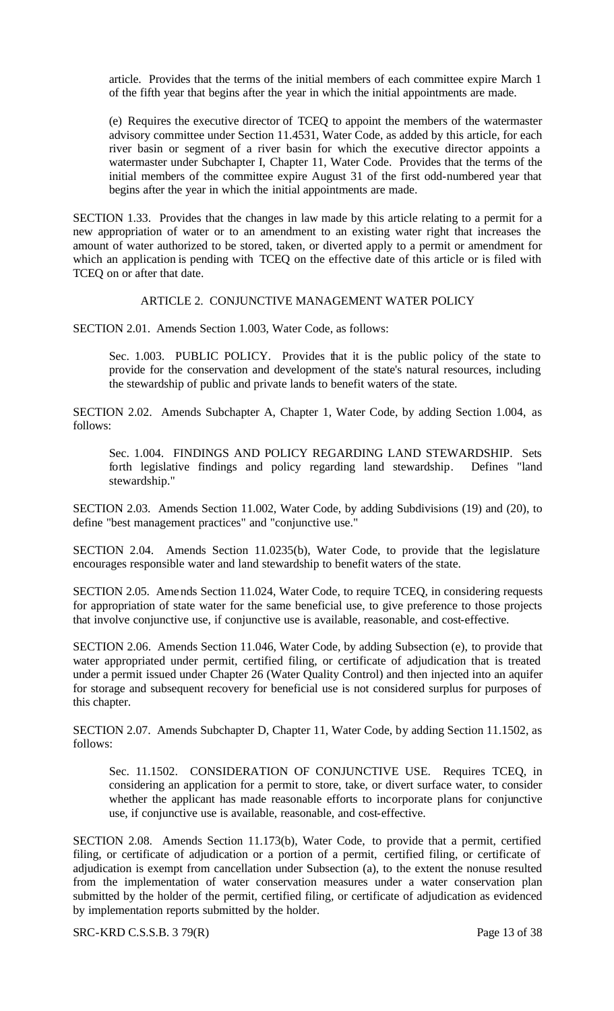article. Provides that the terms of the initial members of each committee expire March 1 of the fifth year that begins after the year in which the initial appointments are made.

(e) Requires the executive director of TCEQ to appoint the members of the watermaster advisory committee under Section 11.4531, Water Code, as added by this article, for each river basin or segment of a river basin for which the executive director appoints a watermaster under Subchapter I, Chapter 11, Water Code. Provides that the terms of the initial members of the committee expire August 31 of the first odd-numbered year that begins after the year in which the initial appointments are made.

SECTION 1.33. Provides that the changes in law made by this article relating to a permit for a new appropriation of water or to an amendment to an existing water right that increases the amount of water authorized to be stored, taken, or diverted apply to a permit or amendment for which an application is pending with TCEQ on the effective date of this article or is filed with TCEQ on or after that date.

#### ARTICLE 2. CONJUNCTIVE MANAGEMENT WATER POLICY

SECTION 2.01. Amends Section 1.003, Water Code, as follows:

Sec. 1.003. PUBLIC POLICY. Provides that it is the public policy of the state to provide for the conservation and development of the state's natural resources, including the stewardship of public and private lands to benefit waters of the state.

SECTION 2.02. Amends Subchapter A, Chapter 1, Water Code, by adding Section 1.004, as follows:

Sec. 1.004. FINDINGS AND POLICY REGARDING LAND STEWARDSHIP. Sets forth legislative findings and policy regarding land stewardship. Defines "land stewardship."

SECTION 2.03. Amends Section 11.002, Water Code, by adding Subdivisions (19) and (20), to define "best management practices" and "conjunctive use."

SECTION 2.04. Amends Section 11.0235(b), Water Code, to provide that the legislature encourages responsible water and land stewardship to benefit waters of the state.

SECTION 2.05. Amends Section 11.024, Water Code, to require TCEQ, in considering requests for appropriation of state water for the same beneficial use, to give preference to those projects that involve conjunctive use, if conjunctive use is available, reasonable, and cost-effective.

SECTION 2.06. Amends Section 11.046, Water Code, by adding Subsection (e), to provide that water appropriated under permit, certified filing, or certificate of adjudication that is treated under a permit issued under Chapter 26 (Water Quality Control) and then injected into an aquifer for storage and subsequent recovery for beneficial use is not considered surplus for purposes of this chapter.

SECTION 2.07. Amends Subchapter D, Chapter 11, Water Code, by adding Section 11.1502, as follows:

Sec. 11.1502. CONSIDERATION OF CONJUNCTIVE USE. Requires TCEQ, in considering an application for a permit to store, take, or divert surface water, to consider whether the applicant has made reasonable efforts to incorporate plans for conjunctive use, if conjunctive use is available, reasonable, and cost-effective.

SECTION 2.08. Amends Section 11.173(b), Water Code, to provide that a permit, certified filing, or certificate of adjudication or a portion of a permit, certified filing, or certificate of adjudication is exempt from cancellation under Subsection (a), to the extent the nonuse resulted from the implementation of water conservation measures under a water conservation plan submitted by the holder of the permit, certified filing, or certificate of adjudication as evidenced by implementation reports submitted by the holder.

SRC-KRD C.S.S.B. 3 79(R) Page 13 of 38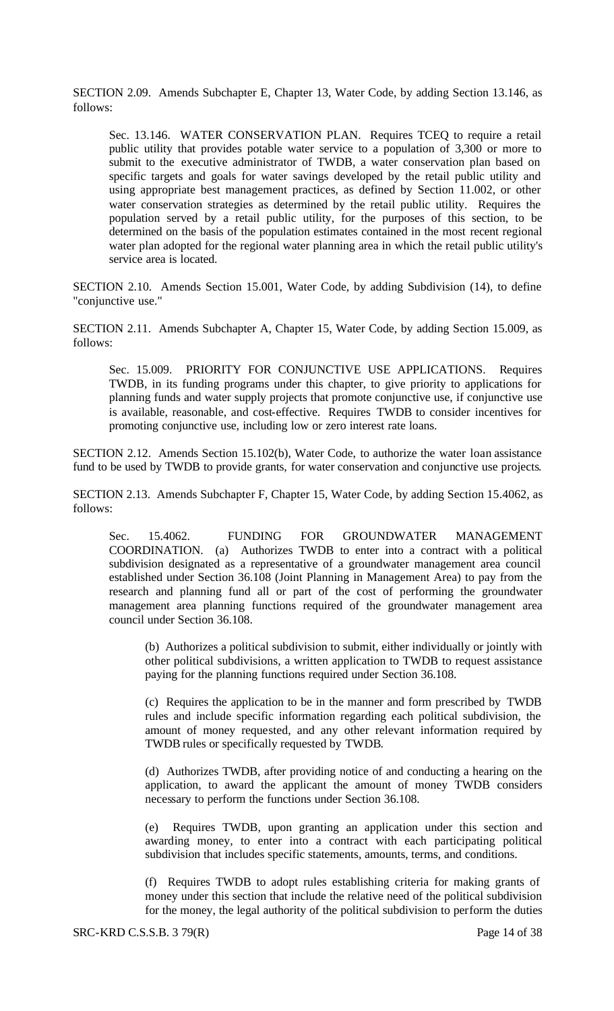SECTION 2.09. Amends Subchapter E, Chapter 13, Water Code, by adding Section 13.146, as follows:

Sec. 13.146. WATER CONSERVATION PLAN. Requires TCEQ to require a retail public utility that provides potable water service to a population of 3,300 or more to submit to the executive administrator of TWDB, a water conservation plan based on specific targets and goals for water savings developed by the retail public utility and using appropriate best management practices, as defined by Section 11.002, or other water conservation strategies as determined by the retail public utility. Requires the population served by a retail public utility, for the purposes of this section, to be determined on the basis of the population estimates contained in the most recent regional water plan adopted for the regional water planning area in which the retail public utility's service area is located.

SECTION 2.10. Amends Section 15.001, Water Code, by adding Subdivision (14), to define "conjunctive use."

SECTION 2.11. Amends Subchapter A, Chapter 15, Water Code, by adding Section 15.009, as follows:

Sec. 15.009. PRIORITY FOR CONJUNCTIVE USE APPLICATIONS. Requires TWDB, in its funding programs under this chapter, to give priority to applications for planning funds and water supply projects that promote conjunctive use, if conjunctive use is available, reasonable, and cost-effective. Requires TWDB to consider incentives for promoting conjunctive use, including low or zero interest rate loans.

SECTION 2.12. Amends Section 15.102(b), Water Code, to authorize the water loan assistance fund to be used by TWDB to provide grants, for water conservation and conjunctive use projects.

SECTION 2.13. Amends Subchapter F, Chapter 15, Water Code, by adding Section 15.4062, as follows:

Sec. 15.4062. FUNDING FOR GROUNDWATER MANAGEMENT COORDINATION. (a) Authorizes TWDB to enter into a contract with a political subdivision designated as a representative of a groundwater management area council established under Section 36.108 (Joint Planning in Management Area) to pay from the research and planning fund all or part of the cost of performing the groundwater management area planning functions required of the groundwater management area council under Section 36.108.

(b) Authorizes a political subdivision to submit, either individually or jointly with other political subdivisions, a written application to TWDB to request assistance paying for the planning functions required under Section 36.108.

(c) Requires the application to be in the manner and form prescribed by TWDB rules and include specific information regarding each political subdivision, the amount of money requested, and any other relevant information required by TWDB rules or specifically requested by TWDB.

(d) Authorizes TWDB, after providing notice of and conducting a hearing on the application, to award the applicant the amount of money TWDB considers necessary to perform the functions under Section 36.108.

(e) Requires TWDB, upon granting an application under this section and awarding money, to enter into a contract with each participating political subdivision that includes specific statements, amounts, terms, and conditions.

(f) Requires TWDB to adopt rules establishing criteria for making grants of money under this section that include the relative need of the political subdivision for the money, the legal authority of the political subdivision to perform the duties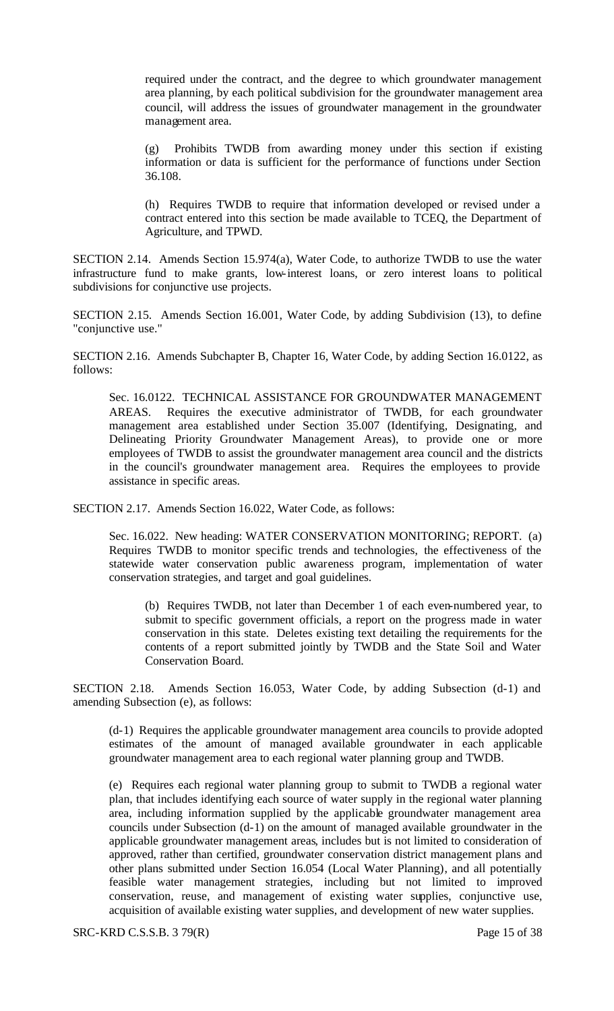required under the contract, and the degree to which groundwater management area planning, by each political subdivision for the groundwater management area council, will address the issues of groundwater management in the groundwater management area.

(g) Prohibits TWDB from awarding money under this section if existing information or data is sufficient for the performance of functions under Section 36.108.

(h) Requires TWDB to require that information developed or revised under a contract entered into this section be made available to TCEQ, the Department of Agriculture, and TPWD.

SECTION 2.14. Amends Section 15.974(a), Water Code, to authorize TWDB to use the water infrastructure fund to make grants, low-interest loans, or zero interest loans to political subdivisions for conjunctive use projects.

SECTION 2.15. Amends Section 16.001, Water Code, by adding Subdivision (13), to define "conjunctive use."

SECTION 2.16. Amends Subchapter B, Chapter 16, Water Code, by adding Section 16.0122, as follows:

Sec. 16.0122. TECHNICAL ASSISTANCE FOR GROUNDWATER MANAGEMENT AREAS. Requires the executive administrator of TWDB, for each groundwater management area established under Section 35.007 (Identifying, Designating, and Delineating Priority Groundwater Management Areas), to provide one or more employees of TWDB to assist the groundwater management area council and the districts in the council's groundwater management area. Requires the employees to provide assistance in specific areas.

SECTION 2.17. Amends Section 16.022, Water Code, as follows:

Sec. 16.022. New heading: WATER CONSERVATION MONITORING; REPORT. (a) Requires TWDB to monitor specific trends and technologies, the effectiveness of the statewide water conservation public awareness program, implementation of water conservation strategies, and target and goal guidelines.

(b) Requires TWDB, not later than December 1 of each even-numbered year, to submit to specific government officials, a report on the progress made in water conservation in this state. Deletes existing text detailing the requirements for the contents of a report submitted jointly by TWDB and the State Soil and Water Conservation Board.

SECTION 2.18. Amends Section 16.053, Water Code, by adding Subsection (d-1) and amending Subsection (e), as follows:

(d-1) Requires the applicable groundwater management area councils to provide adopted estimates of the amount of managed available groundwater in each applicable groundwater management area to each regional water planning group and TWDB.

(e) Requires each regional water planning group to submit to TWDB a regional water plan, that includes identifying each source of water supply in the regional water planning area, including information supplied by the applicable groundwater management area councils under Subsection (d-1) on the amount of managed available groundwater in the applicable groundwater management areas, includes but is not limited to consideration of approved, rather than certified, groundwater conservation district management plans and other plans submitted under Section 16.054 (Local Water Planning), and all potentially feasible water management strategies, including but not limited to improved conservation, reuse, and management of existing water supplies, conjunctive use, acquisition of available existing water supplies, and development of new water supplies.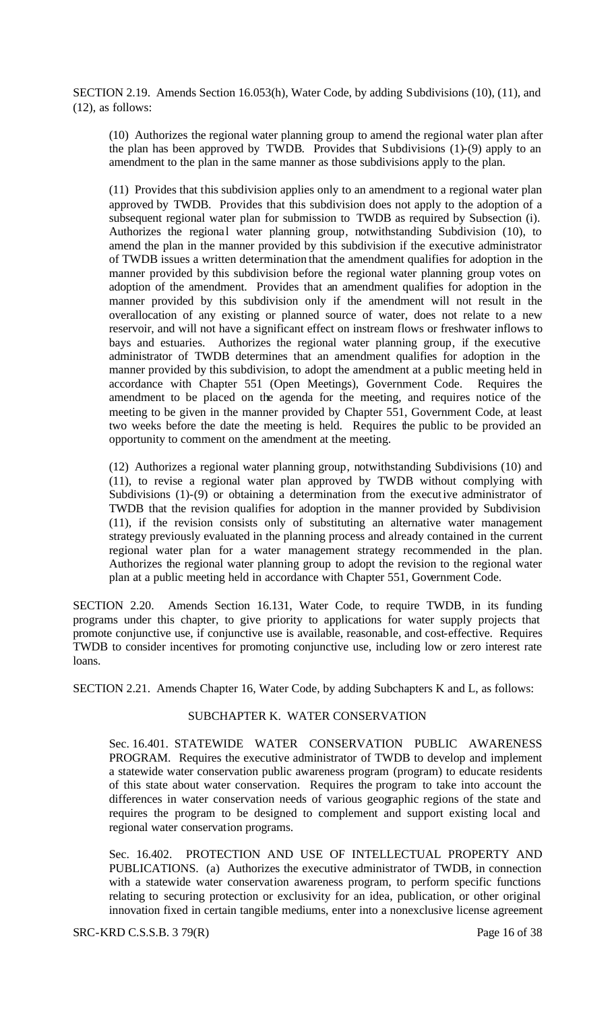SECTION 2.19. Amends Section 16.053(h), Water Code, by adding Subdivisions (10), (11), and (12), as follows:

(10) Authorizes the regional water planning group to amend the regional water plan after the plan has been approved by TWDB. Provides that Subdivisions (1)-(9) apply to an amendment to the plan in the same manner as those subdivisions apply to the plan.

(11) Provides that this subdivision applies only to an amendment to a regional water plan approved by TWDB. Provides that this subdivision does not apply to the adoption of a subsequent regional water plan for submission to TWDB as required by Subsection (i). Authorizes the regional water planning group, notwithstanding Subdivision (10), to amend the plan in the manner provided by this subdivision if the executive administrator of TWDB issues a written determination that the amendment qualifies for adoption in the manner provided by this subdivision before the regional water planning group votes on adoption of the amendment. Provides that an amendment qualifies for adoption in the manner provided by this subdivision only if the amendment will not result in the overallocation of any existing or planned source of water, does not relate to a new reservoir, and will not have a significant effect on instream flows or freshwater inflows to bays and estuaries. Authorizes the regional water planning group, if the executive administrator of TWDB determines that an amendment qualifies for adoption in the manner provided by this subdivision, to adopt the amendment at a public meeting held in accordance with Chapter 551 (Open Meetings), Government Code. Requires the amendment to be placed on the agenda for the meeting, and requires notice of the meeting to be given in the manner provided by Chapter 551, Government Code, at least two weeks before the date the meeting is held. Requires the public to be provided an opportunity to comment on the amendment at the meeting.

(12) Authorizes a regional water planning group, notwithstanding Subdivisions (10) and (11), to revise a regional water plan approved by TWDB without complying with Subdivisions (1)-(9) or obtaining a determination from the executive administrator of TWDB that the revision qualifies for adoption in the manner provided by Subdivision (11), if the revision consists only of substituting an alternative water management strategy previously evaluated in the planning process and already contained in the current regional water plan for a water management strategy recommended in the plan. Authorizes the regional water planning group to adopt the revision to the regional water plan at a public meeting held in accordance with Chapter 551, Government Code.

SECTION 2.20. Amends Section 16.131, Water Code, to require TWDB, in its funding programs under this chapter, to give priority to applications for water supply projects that promote conjunctive use, if conjunctive use is available, reasonable, and cost-effective. Requires TWDB to consider incentives for promoting conjunctive use, including low or zero interest rate loans.

SECTION 2.21. Amends Chapter 16, Water Code, by adding Subchapters K and L, as follows:

# SUBCHAPTER K. WATER CONSERVATION

Sec. 16.401. STATEWIDE WATER CONSERVATION PUBLIC AWARENESS PROGRAM. Requires the executive administrator of TWDB to develop and implement a statewide water conservation public awareness program (program) to educate residents of this state about water conservation. Requires the program to take into account the differences in water conservation needs of various geographic regions of the state and requires the program to be designed to complement and support existing local and regional water conservation programs.

Sec. 16.402. PROTECTION AND USE OF INTELLECTUAL PROPERTY AND PUBLICATIONS. (a) Authorizes the executive administrator of TWDB, in connection with a statewide water conservation awareness program, to perform specific functions relating to securing protection or exclusivity for an idea, publication, or other original innovation fixed in certain tangible mediums, enter into a nonexclusive license agreement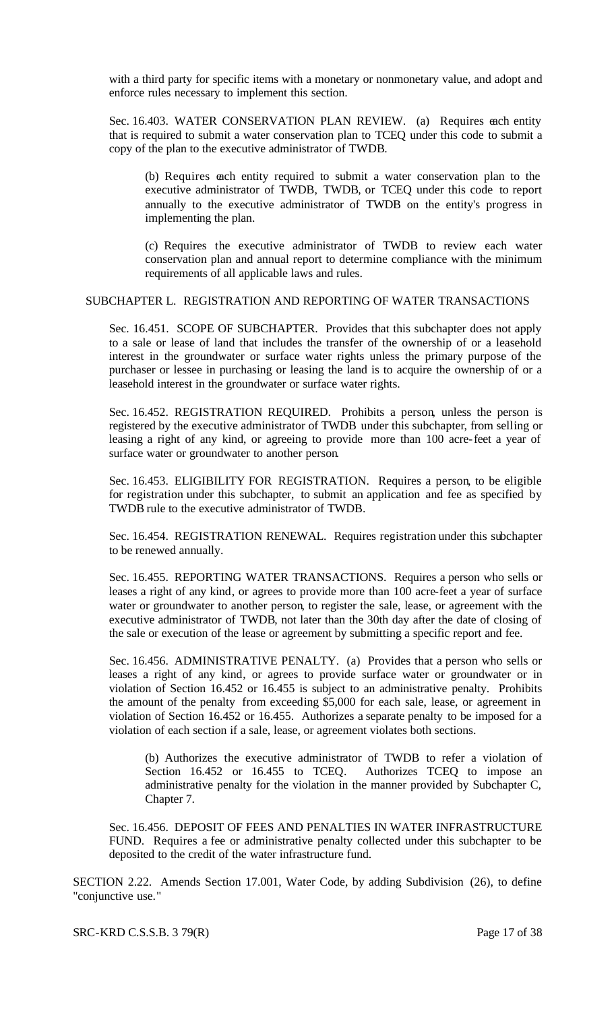with a third party for specific items with a monetary or nonmonetary value, and adopt and enforce rules necessary to implement this section.

Sec. 16.403. WATER CONSERVATION PLAN REVIEW. (a) Requires each entity that is required to submit a water conservation plan to TCEQ under this code to submit a copy of the plan to the executive administrator of TWDB.

(b) Requires each entity required to submit a water conservation plan to the executive administrator of TWDB, TWDB, or TCEQ under this code to report annually to the executive administrator of TWDB on the entity's progress in implementing the plan.

(c) Requires the executive administrator of TWDB to review each water conservation plan and annual report to determine compliance with the minimum requirements of all applicable laws and rules.

#### SUBCHAPTER L. REGISTRATION AND REPORTING OF WATER TRANSACTIONS

Sec. 16.451. SCOPE OF SUBCHAPTER. Provides that this subchapter does not apply to a sale or lease of land that includes the transfer of the ownership of or a leasehold interest in the groundwater or surface water rights unless the primary purpose of the purchaser or lessee in purchasing or leasing the land is to acquire the ownership of or a leasehold interest in the groundwater or surface water rights.

Sec. 16.452. REGISTRATION REQUIRED. Prohibits a person, unless the person is registered by the executive administrator of TWDB under this subchapter, from selling or leasing a right of any kind, or agreeing to provide more than 100 acre-feet a year of surface water or groundwater to another person.

Sec. 16.453. ELIGIBILITY FOR REGISTRATION. Requires a person, to be eligible for registration under this subchapter, to submit an application and fee as specified by TWDB rule to the executive administrator of TWDB.

Sec. 16.454. REGISTRATION RENEWAL. Requires registration under this subchapter to be renewed annually.

Sec. 16.455. REPORTING WATER TRANSACTIONS. Requires a person who sells or leases a right of any kind, or agrees to provide more than 100 acre-feet a year of surface water or groundwater to another person, to register the sale, lease, or agreement with the executive administrator of TWDB, not later than the 30th day after the date of closing of the sale or execution of the lease or agreement by submitting a specific report and fee.

Sec. 16.456. ADMINISTRATIVE PENALTY. (a) Provides that a person who sells or leases a right of any kind, or agrees to provide surface water or groundwater or in violation of Section 16.452 or 16.455 is subject to an administrative penalty. Prohibits the amount of the penalty from exceeding \$5,000 for each sale, lease, or agreement in violation of Section 16.452 or 16.455. Authorizes a separate penalty to be imposed for a violation of each section if a sale, lease, or agreement violates both sections.

(b) Authorizes the executive administrator of TWDB to refer a violation of Section 16.452 or 16.455 to TCEQ. Authorizes TCEQ to impose an administrative penalty for the violation in the manner provided by Subchapter C, Chapter 7.

Sec. 16.456. DEPOSIT OF FEES AND PENALTIES IN WATER INFRASTRUCTURE FUND. Requires a fee or administrative penalty collected under this subchapter to be deposited to the credit of the water infrastructure fund.

SECTION 2.22. Amends Section 17.001, Water Code, by adding Subdivision (26), to define "conjunctive use."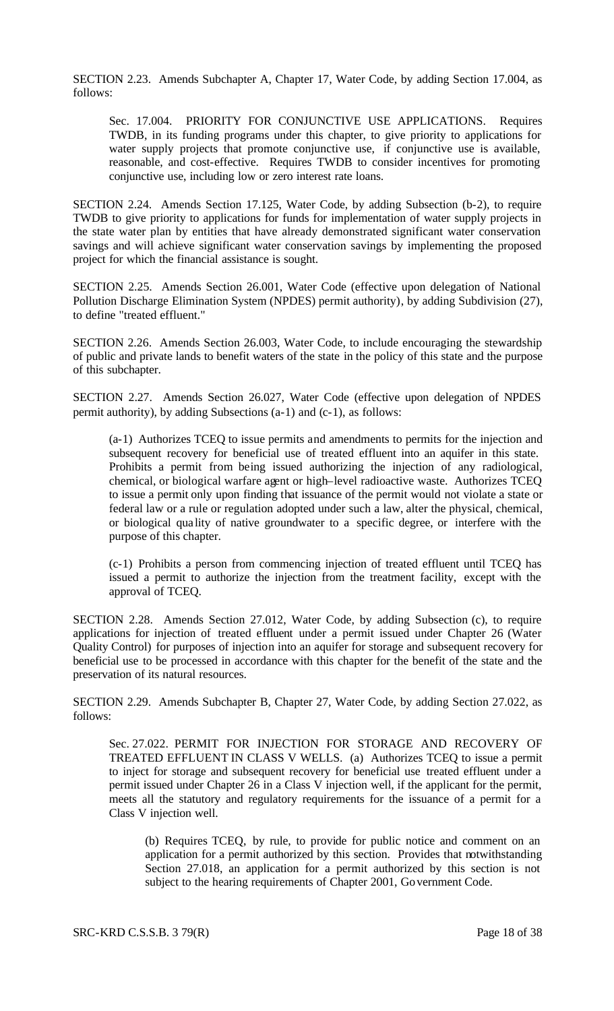SECTION 2.23. Amends Subchapter A, Chapter 17, Water Code, by adding Section 17.004, as follows:

Sec. 17.004. PRIORITY FOR CONJUNCTIVE USE APPLICATIONS. Requires TWDB, in its funding programs under this chapter, to give priority to applications for water supply projects that promote conjunctive use, if conjunctive use is available, reasonable, and cost-effective. Requires TWDB to consider incentives for promoting conjunctive use, including low or zero interest rate loans.

SECTION 2.24. Amends Section 17.125, Water Code, by adding Subsection (b-2), to require TWDB to give priority to applications for funds for implementation of water supply projects in the state water plan by entities that have already demonstrated significant water conservation savings and will achieve significant water conservation savings by implementing the proposed project for which the financial assistance is sought.

SECTION 2.25. Amends Section 26.001, Water Code (effective upon delegation of National Pollution Discharge Elimination System (NPDES) permit authority), by adding Subdivision (27), to define "treated effluent."

SECTION 2.26. Amends Section 26.003, Water Code, to include encouraging the stewardship of public and private lands to benefit waters of the state in the policy of this state and the purpose of this subchapter.

SECTION 2.27. Amends Section 26.027, Water Code (effective upon delegation of NPDES permit authority), by adding Subsections (a-1) and (c-1), as follows:

(a-1) Authorizes TCEQ to issue permits and amendments to permits for the injection and subsequent recovery for beneficial use of treated effluent into an aquifer in this state. Prohibits a permit from being issued authorizing the injection of any radiological, chemical, or biological warfare agent or high–level radioactive waste. Authorizes TCEQ to issue a permit only upon finding that issuance of the permit would not violate a state or federal law or a rule or regulation adopted under such a law, alter the physical, chemical, or biological qua lity of native groundwater to a specific degree, or interfere with the purpose of this chapter.

(c-1) Prohibits a person from commencing injection of treated effluent until TCEQ has issued a permit to authorize the injection from the treatment facility, except with the approval of TCEQ.

SECTION 2.28. Amends Section 27.012, Water Code, by adding Subsection (c), to require applications for injection of treated effluent under a permit issued under Chapter 26 (Water Quality Control) for purposes of injection into an aquifer for storage and subsequent recovery for beneficial use to be processed in accordance with this chapter for the benefit of the state and the preservation of its natural resources.

SECTION 2.29. Amends Subchapter B, Chapter 27, Water Code, by adding Section 27.022, as follows:

Sec. 27.022. PERMIT FOR INJECTION FOR STORAGE AND RECOVERY OF TREATED EFFLUENT IN CLASS V WELLS. (a) Authorizes TCEQ to issue a permit to inject for storage and subsequent recovery for beneficial use treated effluent under a permit issued under Chapter 26 in a Class V injection well, if the applicant for the permit, meets all the statutory and regulatory requirements for the issuance of a permit for a Class V injection well.

(b) Requires TCEQ, by rule, to provide for public notice and comment on an application for a permit authorized by this section. Provides that notwithstanding Section 27.018, an application for a permit authorized by this section is not subject to the hearing requirements of Chapter 2001, Government Code.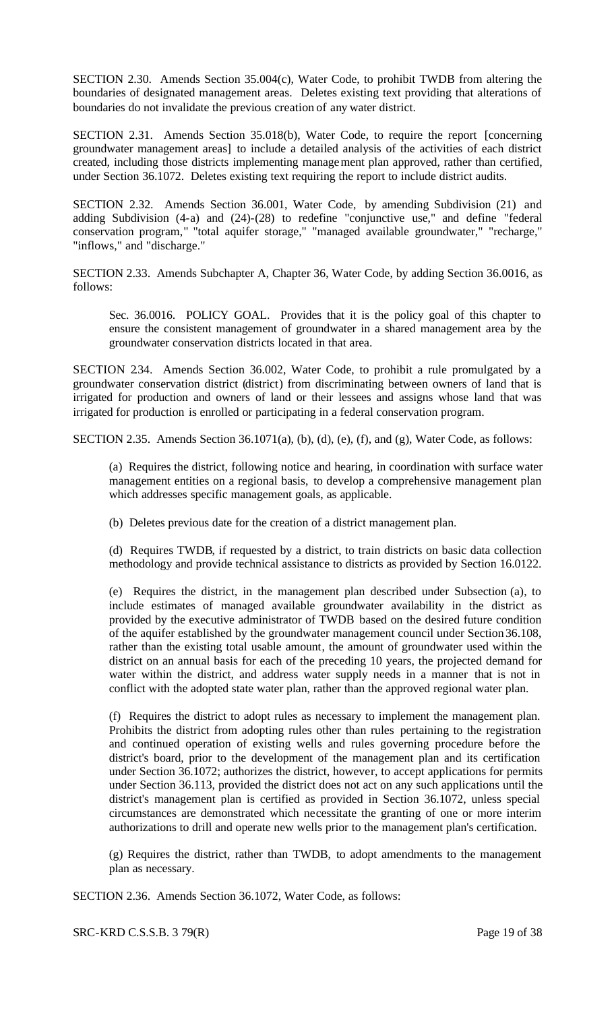SECTION 2.30. Amends Section 35.004(c), Water Code, to prohibit TWDB from altering the boundaries of designated management areas. Deletes existing text providing that alterations of boundaries do not invalidate the previous creation of any water district.

SECTION 2.31. Amends Section 35.018(b), Water Code, to require the report [concerning groundwater management areas] to include a detailed analysis of the activities of each district created, including those districts implementing management plan approved, rather than certified, under Section 36.1072. Deletes existing text requiring the report to include district audits.

SECTION 2.32. Amends Section 36.001, Water Code, by amending Subdivision (21) and adding Subdivision (4-a) and (24)-(28) to redefine "conjunctive use," and define "federal conservation program," "total aquifer storage," "managed available groundwater," "recharge," "inflows," and "discharge."

SECTION 2.33. Amends Subchapter A, Chapter 36, Water Code, by adding Section 36.0016, as follows:

Sec. 36.0016. POLICY GOAL. Provides that it is the policy goal of this chapter to ensure the consistent management of groundwater in a shared management area by the groundwater conservation districts located in that area.

SECTION 234. Amends Section 36.002, Water Code, to prohibit a rule promulgated by a groundwater conservation district (district) from discriminating between owners of land that is irrigated for production and owners of land or their lessees and assigns whose land that was irrigated for production is enrolled or participating in a federal conservation program.

SECTION 2.35. Amends Section 36.1071(a), (b), (d), (e), (f), and (g), Water Code, as follows:

(a) Requires the district, following notice and hearing, in coordination with surface water management entities on a regional basis, to develop a comprehensive management plan which addresses specific management goals, as applicable.

(b) Deletes previous date for the creation of a district management plan.

(d) Requires TWDB, if requested by a district, to train districts on basic data collection methodology and provide technical assistance to districts as provided by Section 16.0122.

(e) Requires the district, in the management plan described under Subsection (a), to include estimates of managed available groundwater availability in the district as provided by the executive administrator of TWDB based on the desired future condition of the aquifer established by the groundwater management council under Section 36.108, rather than the existing total usable amount, the amount of groundwater used within the district on an annual basis for each of the preceding 10 years, the projected demand for water within the district, and address water supply needs in a manner that is not in conflict with the adopted state water plan, rather than the approved regional water plan.

(f) Requires the district to adopt rules as necessary to implement the management plan. Prohibits the district from adopting rules other than rules pertaining to the registration and continued operation of existing wells and rules governing procedure before the district's board, prior to the development of the management plan and its certification under Section 36.1072; authorizes the district, however, to accept applications for permits under Section 36.113, provided the district does not act on any such applications until the district's management plan is certified as provided in Section 36.1072, unless special circumstances are demonstrated which necessitate the granting of one or more interim authorizations to drill and operate new wells prior to the management plan's certification.

(g) Requires the district, rather than TWDB, to adopt amendments to the management plan as necessary.

SECTION 2.36. Amends Section 36.1072, Water Code, as follows: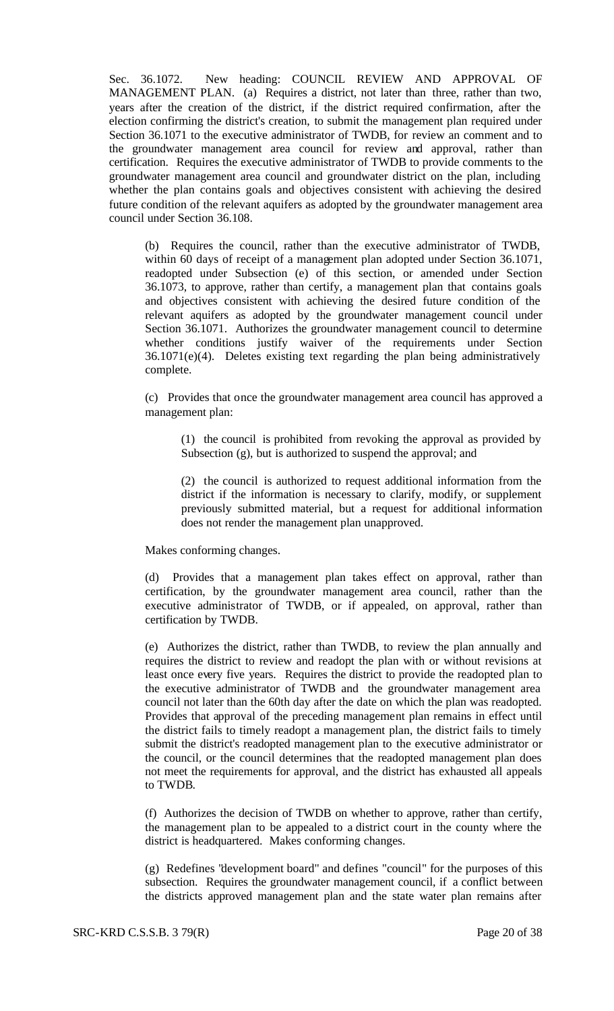Sec. 36.1072. New heading: COUNCIL REVIEW AND APPROVAL OF MANAGEMENT PLAN. (a) Requires a district, not later than three, rather than two, years after the creation of the district, if the district required confirmation, after the election confirming the district's creation, to submit the management plan required under Section 36.1071 to the executive administrator of TWDB, for review an comment and to the groundwater management area council for review and approval, rather than certification. Requires the executive administrator of TWDB to provide comments to the groundwater management area council and groundwater district on the plan, including whether the plan contains goals and objectives consistent with achieving the desired future condition of the relevant aquifers as adopted by the groundwater management area council under Section 36.108.

(b) Requires the council, rather than the executive administrator of TWDB, within 60 days of receipt of a management plan adopted under Section 36.1071, readopted under Subsection (e) of this section, or amended under Section 36.1073, to approve, rather than certify, a management plan that contains goals and objectives consistent with achieving the desired future condition of the relevant aquifers as adopted by the groundwater management council under Section 36.1071. Authorizes the groundwater management council to determine whether conditions justify waiver of the requirements under Section 36.1071(e)(4). Deletes existing text regarding the plan being administratively complete.

(c) Provides that once the groundwater management area council has approved a management plan:

(1) the council is prohibited from revoking the approval as provided by Subsection (g), but is authorized to suspend the approval; and

(2) the council is authorized to request additional information from the district if the information is necessary to clarify, modify, or supplement previously submitted material, but a request for additional information does not render the management plan unapproved.

Makes conforming changes.

(d) Provides that a management plan takes effect on approval, rather than certification, by the groundwater management area council, rather than the executive administrator of TWDB, or if appealed, on approval, rather than certification by TWDB.

(e) Authorizes the district, rather than TWDB, to review the plan annually and requires the district to review and readopt the plan with or without revisions at least once every five years. Requires the district to provide the readopted plan to the executive administrator of TWDB and the groundwater management area council not later than the 60th day after the date on which the plan was readopted. Provides that approval of the preceding management plan remains in effect until the district fails to timely readopt a management plan, the district fails to timely submit the district's readopted management plan to the executive administrator or the council, or the council determines that the readopted management plan does not meet the requirements for approval, and the district has exhausted all appeals to TWDB.

(f) Authorizes the decision of TWDB on whether to approve, rather than certify, the management plan to be appealed to a district court in the county where the district is headquartered. Makes conforming changes.

(g) Redefines "development board" and defines "council" for the purposes of this subsection. Requires the groundwater management council, if a conflict between the districts approved management plan and the state water plan remains after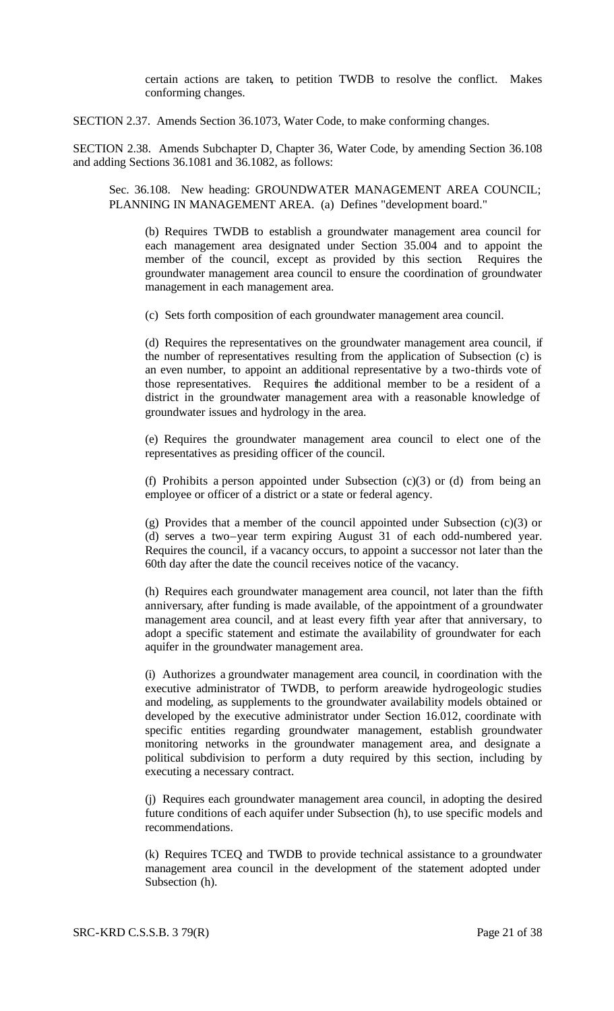certain actions are taken, to petition TWDB to resolve the conflict. Makes conforming changes.

SECTION 2.37. Amends Section 36.1073, Water Code, to make conforming changes.

SECTION 2.38. Amends Subchapter D, Chapter 36, Water Code, by amending Section 36.108 and adding Sections 36.1081 and 36.1082, as follows:

Sec. 36.108. New heading: GROUNDWATER MANAGEMENT AREA COUNCIL; PLANNING IN MANAGEMENT AREA. (a) Defines "development board."

(b) Requires TWDB to establish a groundwater management area council for each management area designated under Section 35.004 and to appoint the member of the council, except as provided by this section. Requires the groundwater management area council to ensure the coordination of groundwater management in each management area.

(c) Sets forth composition of each groundwater management area council.

(d) Requires the representatives on the groundwater management area council, if the number of representatives resulting from the application of Subsection (c) is an even number, to appoint an additional representative by a two-thirds vote of those representatives. Requires the additional member to be a resident of a district in the groundwater management area with a reasonable knowledge of groundwater issues and hydrology in the area.

(e) Requires the groundwater management area council to elect one of the representatives as presiding officer of the council.

(f) Prohibits a person appointed under Subsection  $(c)(3)$  or (d) from being an employee or officer of a district or a state or federal agency.

(g) Provides that a member of the council appointed under Subsection (c)(3) or (d) serves a two–year term expiring August 31 of each odd-numbered year. Requires the council, if a vacancy occurs, to appoint a successor not later than the 60th day after the date the council receives notice of the vacancy.

(h) Requires each groundwater management area council, not later than the fifth anniversary, after funding is made available, of the appointment of a groundwater management area council, and at least every fifth year after that anniversary, to adopt a specific statement and estimate the availability of groundwater for each aquifer in the groundwater management area.

(i) Authorizes a groundwater management area council, in coordination with the executive administrator of TWDB, to perform areawide hydrogeologic studies and modeling, as supplements to the groundwater availability models obtained or developed by the executive administrator under Section 16.012, coordinate with specific entities regarding groundwater management, establish groundwater monitoring networks in the groundwater management area, and designate a political subdivision to perform a duty required by this section, including by executing a necessary contract.

(j) Requires each groundwater management area council, in adopting the desired future conditions of each aquifer under Subsection (h), to use specific models and recommendations.

(k) Requires TCEQ and TWDB to provide technical assistance to a groundwater management area council in the development of the statement adopted under Subsection (h).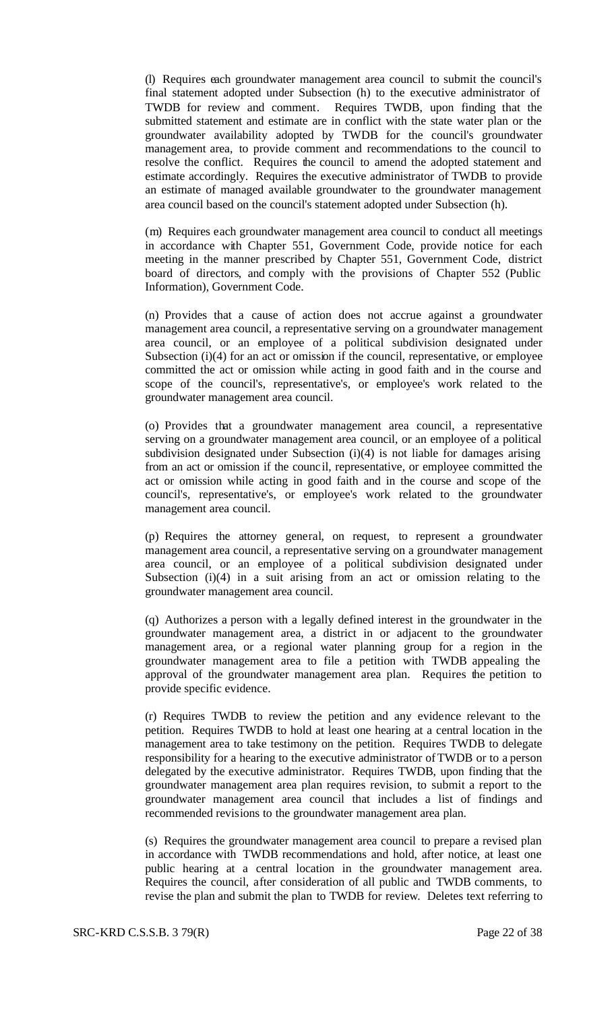(l) Requires each groundwater management area council to submit the council's final statement adopted under Subsection (h) to the executive administrator of TWDB for review and comment. Requires TWDB, upon finding that the submitted statement and estimate are in conflict with the state water plan or the groundwater availability adopted by TWDB for the council's groundwater management area, to provide comment and recommendations to the council to resolve the conflict. Requires the council to amend the adopted statement and estimate accordingly. Requires the executive administrator of TWDB to provide an estimate of managed available groundwater to the groundwater management area council based on the council's statement adopted under Subsection (h).

(m) Requires each groundwater management area council to conduct all meetings in accordance with Chapter 551, Government Code, provide notice for each meeting in the manner prescribed by Chapter 551, Government Code, district board of directors, and comply with the provisions of Chapter 552 (Public Information), Government Code.

(n) Provides that a cause of action does not accrue against a groundwater management area council, a representative serving on a groundwater management area council, or an employee of a political subdivision designated under Subsection (i)(4) for an act or omission if the council, representative, or employee committed the act or omission while acting in good faith and in the course and scope of the council's, representative's, or employee's work related to the groundwater management area council.

(o) Provides that a groundwater management area council, a representative serving on a groundwater management area council, or an employee of a political subdivision designated under Subsection (i)(4) is not liable for damages arising from an act or omission if the council, representative, or employee committed the act or omission while acting in good faith and in the course and scope of the council's, representative's, or employee's work related to the groundwater management area council.

(p) Requires the attorney general, on request, to represent a groundwater management area council, a representative serving on a groundwater management area council, or an employee of a political subdivision designated under Subsection (i)(4) in a suit arising from an act or omission relating to the groundwater management area council.

(q) Authorizes a person with a legally defined interest in the groundwater in the groundwater management area, a district in or adjacent to the groundwater management area, or a regional water planning group for a region in the groundwater management area to file a petition with TWDB appealing the approval of the groundwater management area plan. Requires the petition to provide specific evidence.

(r) Requires TWDB to review the petition and any evidence relevant to the petition. Requires TWDB to hold at least one hearing at a central location in the management area to take testimony on the petition. Requires TWDB to delegate responsibility for a hearing to the executive administrator of TWDB or to a person delegated by the executive administrator. Requires TWDB, upon finding that the groundwater management area plan requires revision, to submit a report to the groundwater management area council that includes a list of findings and recommended revisions to the groundwater management area plan.

(s) Requires the groundwater management area council to prepare a revised plan in accordance with TWDB recommendations and hold, after notice, at least one public hearing at a central location in the groundwater management area. Requires the council, after consideration of all public and TWDB comments, to revise the plan and submit the plan to TWDB for review. Deletes text referring to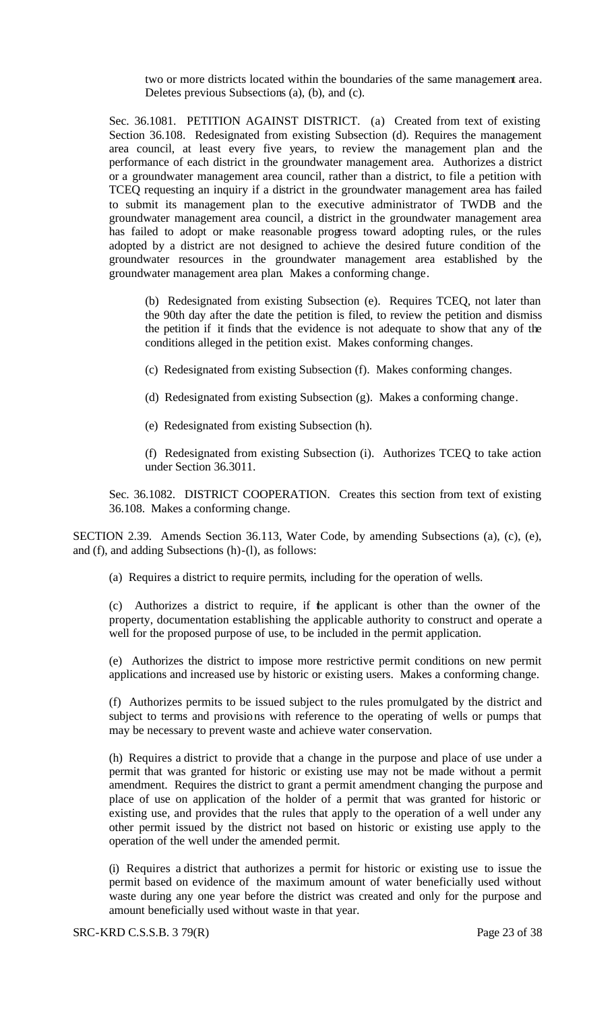two or more districts located within the boundaries of the same management area. Deletes previous Subsections (a), (b), and (c).

Sec. 36.1081. PETITION AGAINST DISTRICT. (a) Created from text of existing Section 36.108. Redesignated from existing Subsection (d). Requires the management area council, at least every five years, to review the management plan and the performance of each district in the groundwater management area. Authorizes a district or a groundwater management area council, rather than a district, to file a petition with TCEQ requesting an inquiry if a district in the groundwater management area has failed to submit its management plan to the executive administrator of TWDB and the groundwater management area council, a district in the groundwater management area has failed to adopt or make reasonable progress toward adopting rules, or the rules adopted by a district are not designed to achieve the desired future condition of the groundwater resources in the groundwater management area established by the groundwater management area plan. Makes a conforming change.

(b) Redesignated from existing Subsection (e). Requires TCEQ, not later than the 90th day after the date the petition is filed, to review the petition and dismiss the petition if it finds that the evidence is not adequate to show that any of the conditions alleged in the petition exist. Makes conforming changes.

- (c) Redesignated from existing Subsection (f). Makes conforming changes.
- (d) Redesignated from existing Subsection (g). Makes a conforming change.
- (e) Redesignated from existing Subsection (h).

(f) Redesignated from existing Subsection (i). Authorizes TCEQ to take action under Section 36.3011.

Sec. 36.1082. DISTRICT COOPERATION. Creates this section from text of existing 36.108. Makes a conforming change.

SECTION 2.39. Amends Section 36.113, Water Code, by amending Subsections (a), (c), (e), and (f), and adding Subsections (h)-(l), as follows:

(a) Requires a district to require permits, including for the operation of wells.

(c) Authorizes a district to require, if the applicant is other than the owner of the property, documentation establishing the applicable authority to construct and operate a well for the proposed purpose of use, to be included in the permit application.

(e) Authorizes the district to impose more restrictive permit conditions on new permit applications and increased use by historic or existing users. Makes a conforming change.

(f) Authorizes permits to be issued subject to the rules promulgated by the district and subject to terms and provisions with reference to the operating of wells or pumps that may be necessary to prevent waste and achieve water conservation.

(h) Requires a district to provide that a change in the purpose and place of use under a permit that was granted for historic or existing use may not be made without a permit amendment. Requires the district to grant a permit amendment changing the purpose and place of use on application of the holder of a permit that was granted for historic or existing use, and provides that the rules that apply to the operation of a well under any other permit issued by the district not based on historic or existing use apply to the operation of the well under the amended permit.

(i) Requires a district that authorizes a permit for historic or existing use to issue the permit based on evidence of the maximum amount of water beneficially used without waste during any one year before the district was created and only for the purpose and amount beneficially used without waste in that year.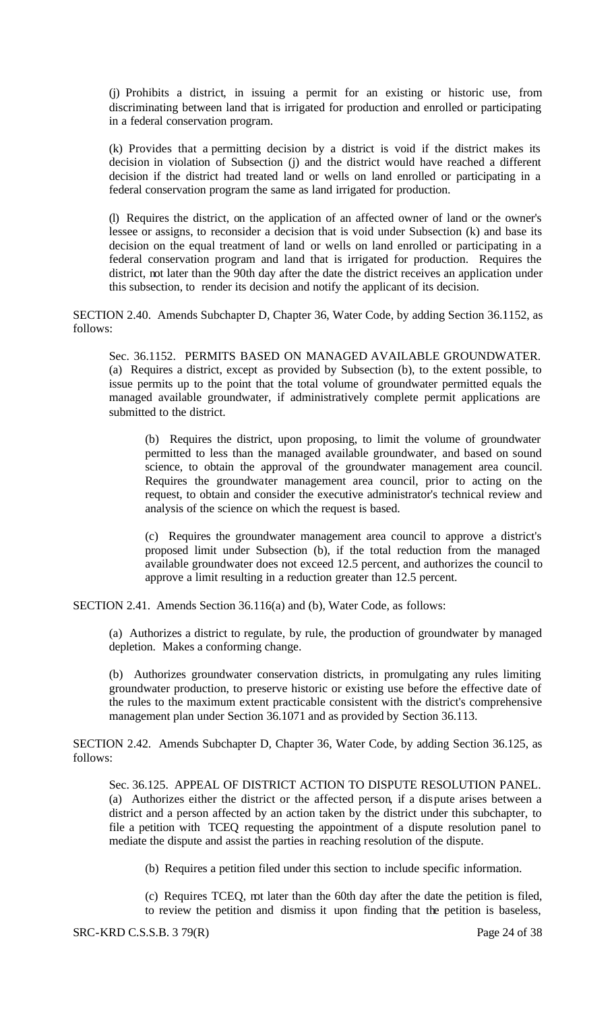(j) Prohibits a district, in issuing a permit for an existing or historic use, from discriminating between land that is irrigated for production and enrolled or participating in a federal conservation program.

(k) Provides that a permitting decision by a district is void if the district makes its decision in violation of Subsection (j) and the district would have reached a different decision if the district had treated land or wells on land enrolled or participating in a federal conservation program the same as land irrigated for production.

(l) Requires the district, on the application of an affected owner of land or the owner's lessee or assigns, to reconsider a decision that is void under Subsection (k) and base its decision on the equal treatment of land or wells on land enrolled or participating in a federal conservation program and land that is irrigated for production. Requires the district, not later than the 90th day after the date the district receives an application under this subsection, to render its decision and notify the applicant of its decision.

SECTION 2.40. Amends Subchapter D, Chapter 36, Water Code, by adding Section 36.1152, as follows:

Sec. 36.1152. PERMITS BASED ON MANAGED AVAILABLE GROUNDWATER. (a) Requires a district, except as provided by Subsection (b), to the extent possible, to issue permits up to the point that the total volume of groundwater permitted equals the managed available groundwater, if administratively complete permit applications are submitted to the district.

(b) Requires the district, upon proposing, to limit the volume of groundwater permitted to less than the managed available groundwater, and based on sound science, to obtain the approval of the groundwater management area council. Requires the groundwater management area council, prior to acting on the request, to obtain and consider the executive administrator's technical review and analysis of the science on which the request is based.

(c) Requires the groundwater management area council to approve a district's proposed limit under Subsection (b), if the total reduction from the managed available groundwater does not exceed 12.5 percent, and authorizes the council to approve a limit resulting in a reduction greater than 12.5 percent.

SECTION 2.41. Amends Section 36.116(a) and (b), Water Code, as follows:

(a) Authorizes a district to regulate, by rule, the production of groundwater by managed depletion. Makes a conforming change.

(b) Authorizes groundwater conservation districts, in promulgating any rules limiting groundwater production, to preserve historic or existing use before the effective date of the rules to the maximum extent practicable consistent with the district's comprehensive management plan under Section 36.1071 and as provided by Section 36.113.

SECTION 2.42. Amends Subchapter D, Chapter 36, Water Code, by adding Section 36.125, as follows:

Sec. 36.125. APPEAL OF DISTRICT ACTION TO DISPUTE RESOLUTION PANEL. (a) Authorizes either the district or the affected person, if a dispute arises between a district and a person affected by an action taken by the district under this subchapter, to file a petition with TCEQ requesting the appointment of a dispute resolution panel to mediate the dispute and assist the parties in reaching resolution of the dispute.

(b) Requires a petition filed under this section to include specific information.

(c) Requires TCEQ, not later than the 60th day after the date the petition is filed, to review the petition and dismiss it upon finding that the petition is baseless,

SRC-KRD C.S.S.B. 3 79(R) Page 24 of 38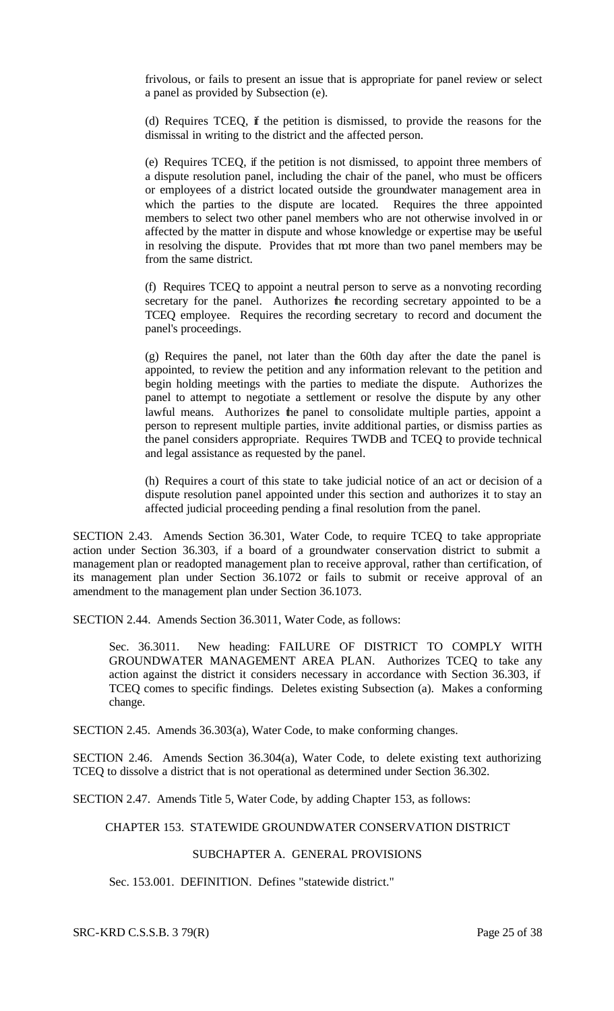frivolous, or fails to present an issue that is appropriate for panel review or select a panel as provided by Subsection (e).

(d) Requires TCEQ, if the petition is dismissed, to provide the reasons for the dismissal in writing to the district and the affected person.

(e) Requires TCEQ, if the petition is not dismissed, to appoint three members of a dispute resolution panel, including the chair of the panel, who must be officers or employees of a district located outside the groundwater management area in which the parties to the dispute are located. Requires the three appointed members to select two other panel members who are not otherwise involved in or affected by the matter in dispute and whose knowledge or expertise may be useful in resolving the dispute. Provides that not more than two panel members may be from the same district.

(f) Requires TCEQ to appoint a neutral person to serve as a nonvoting recording secretary for the panel. Authorizes the recording secretary appointed to be a TCEQ employee. Requires the recording secretary to record and document the panel's proceedings.

(g) Requires the panel, not later than the 60th day after the date the panel is appointed, to review the petition and any information relevant to the petition and begin holding meetings with the parties to mediate the dispute. Authorizes the panel to attempt to negotiate a settlement or resolve the dispute by any other lawful means. Authorizes the panel to consolidate multiple parties, appoint a person to represent multiple parties, invite additional parties, or dismiss parties as the panel considers appropriate. Requires TWDB and TCEQ to provide technical and legal assistance as requested by the panel.

(h) Requires a court of this state to take judicial notice of an act or decision of a dispute resolution panel appointed under this section and authorizes it to stay an affected judicial proceeding pending a final resolution from the panel.

SECTION 2.43. Amends Section 36.301, Water Code, to require TCEQ to take appropriate action under Section 36.303, if a board of a groundwater conservation district to submit a management plan or readopted management plan to receive approval, rather than certification, of its management plan under Section 36.1072 or fails to submit or receive approval of an amendment to the management plan under Section 36.1073.

SECTION 2.44. Amends Section 36.3011, Water Code, as follows:

Sec. 36.3011. New heading: FAILURE OF DISTRICT TO COMPLY WITH GROUNDWATER MANAGEMENT AREA PLAN. Authorizes TCEQ to take any action against the district it considers necessary in accordance with Section 36.303, if TCEQ comes to specific findings. Deletes existing Subsection (a). Makes a conforming change.

SECTION 2.45. Amends 36.303(a), Water Code, to make conforming changes.

SECTION 2.46. Amends Section 36.304(a), Water Code, to delete existing text authorizing TCEQ to dissolve a district that is not operational as determined under Section 36.302.

SECTION 2.47. Amends Title 5, Water Code, by adding Chapter 153, as follows:

### CHAPTER 153. STATEWIDE GROUNDWATER CONSERVATION DISTRICT

## SUBCHAPTER A. GENERAL PROVISIONS

Sec. 153.001. DEFINITION. Defines "statewide district."

SRC-KRD C.S.S.B. 3 79(R) Page 25 of 38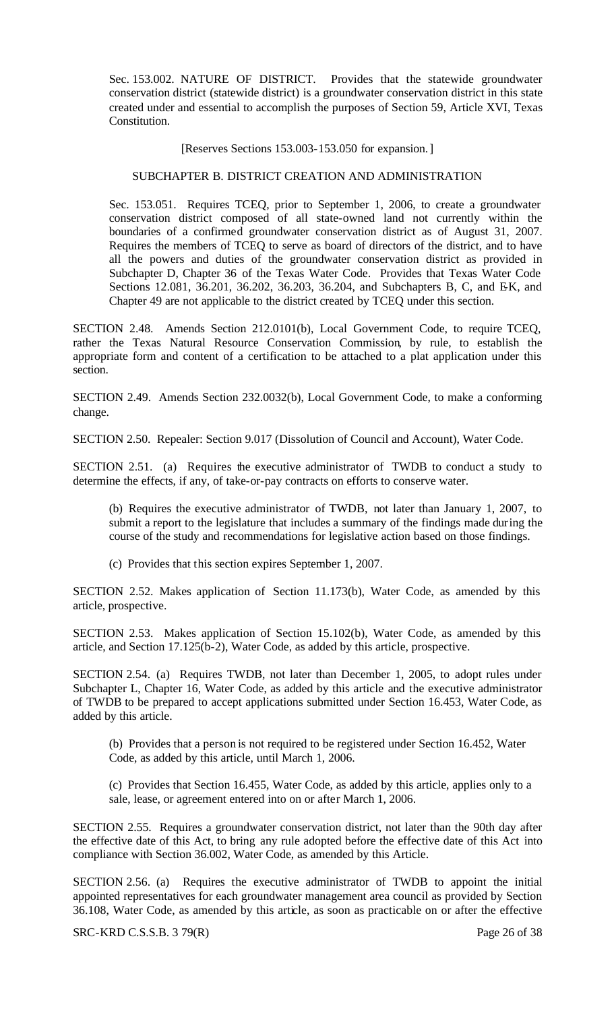Sec. 153.002. NATURE OF DISTRICT. Provides that the statewide groundwater conservation district (statewide district) is a groundwater conservation district in this state created under and essential to accomplish the purposes of Section 59, Article XVI, Texas Constitution.

[Reserves Sections 153.003-153.050 for expansion.]

#### SUBCHAPTER B. DISTRICT CREATION AND ADMINISTRATION

Sec. 153.051. Requires TCEQ, prior to September 1, 2006, to create a groundwater conservation district composed of all state-owned land not currently within the boundaries of a confirmed groundwater conservation district as of August 31, 2007. Requires the members of TCEQ to serve as board of directors of the district, and to have all the powers and duties of the groundwater conservation district as provided in Subchapter D, Chapter 36 of the Texas Water Code. Provides that Texas Water Code Sections 12.081, 36.201, 36.202, 36.203, 36.204, and Subchapters B, C, and EK, and Chapter 49 are not applicable to the district created by TCEQ under this section.

SECTION 2.48. Amends Section 212.0101(b), Local Government Code, to require TCEQ, rather the Texas Natural Resource Conservation Commission, by rule, to establish the appropriate form and content of a certification to be attached to a plat application under this section.

SECTION 2.49. Amends Section 232.0032(b), Local Government Code, to make a conforming change.

SECTION 2.50. Repealer: Section 9.017 (Dissolution of Council and Account), Water Code.

SECTION 2.51. (a) Requires the executive administrator of TWDB to conduct a study to determine the effects, if any, of take-or-pay contracts on efforts to conserve water.

(b) Requires the executive administrator of TWDB, not later than January 1, 2007, to submit a report to the legislature that includes a summary of the findings made during the course of the study and recommendations for legislative action based on those findings.

(c) Provides that this section expires September 1, 2007.

SECTION 2.52. Makes application of Section 11.173(b), Water Code, as amended by this article, prospective.

SECTION 2.53. Makes application of Section 15.102(b), Water Code, as amended by this article, and Section 17.125(b-2), Water Code, as added by this article, prospective.

SECTION 2.54. (a) Requires TWDB, not later than December 1, 2005, to adopt rules under Subchapter L, Chapter 16, Water Code, as added by this article and the executive administrator of TWDB to be prepared to accept applications submitted under Section 16.453, Water Code, as added by this article.

(b) Provides that a person is not required to be registered under Section 16.452, Water Code, as added by this article, until March 1, 2006.

(c) Provides that Section 16.455, Water Code, as added by this article, applies only to a sale, lease, or agreement entered into on or after March 1, 2006.

SECTION 2.55. Requires a groundwater conservation district, not later than the 90th day after the effective date of this Act, to bring any rule adopted before the effective date of this Act into compliance with Section 36.002, Water Code, as amended by this Article.

SECTION 2.56. (a) Requires the executive administrator of TWDB to appoint the initial appointed representatives for each groundwater management area council as provided by Section 36.108, Water Code, as amended by this article, as soon as practicable on or after the effective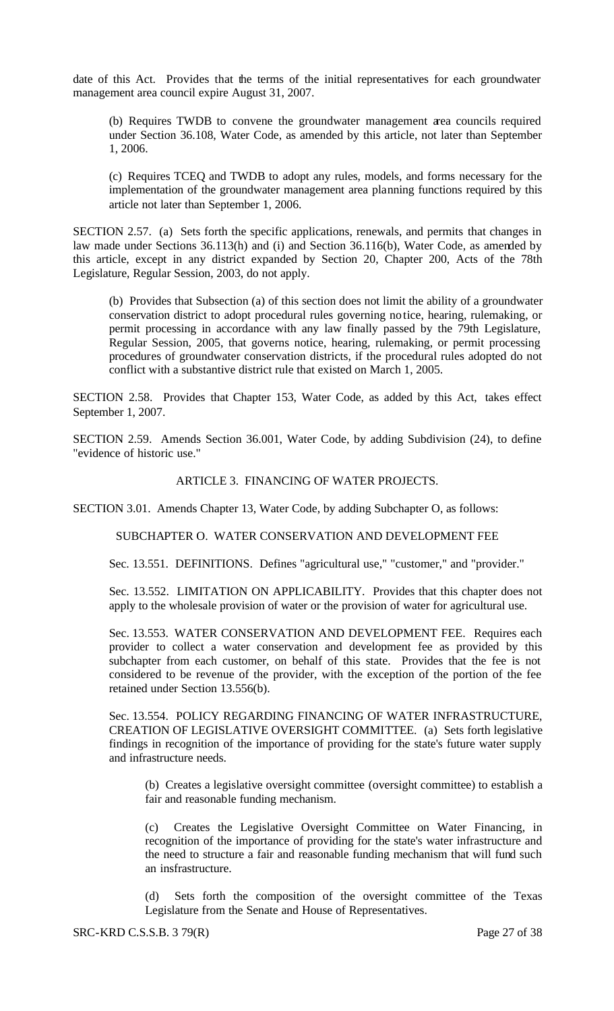date of this Act. Provides that the terms of the initial representatives for each groundwater management area council expire August 31, 2007.

(b) Requires TWDB to convene the groundwater management area councils required under Section 36.108, Water Code, as amended by this article, not later than September 1, 2006.

(c) Requires TCEQ and TWDB to adopt any rules, models, and forms necessary for the implementation of the groundwater management area planning functions required by this article not later than September 1, 2006.

SECTION 2.57. (a) Sets forth the specific applications, renewals, and permits that changes in law made under Sections 36.113(h) and (i) and Section 36.116(b), Water Code, as amended by this article, except in any district expanded by Section 20, Chapter 200, Acts of the 78th Legislature, Regular Session, 2003, do not apply.

(b) Provides that Subsection (a) of this section does not limit the ability of a groundwater conservation district to adopt procedural rules governing notice, hearing, rulemaking, or permit processing in accordance with any law finally passed by the 79th Legislature, Regular Session, 2005, that governs notice, hearing, rulemaking, or permit processing procedures of groundwater conservation districts, if the procedural rules adopted do not conflict with a substantive district rule that existed on March 1, 2005.

SECTION 2.58. Provides that Chapter 153, Water Code, as added by this Act, takes effect September 1, 2007.

SECTION 2.59. Amends Section 36.001, Water Code, by adding Subdivision (24), to define "evidence of historic use."

## ARTICLE 3. FINANCING OF WATER PROJECTS.

SECTION 3.01. Amends Chapter 13, Water Code, by adding Subchapter O, as follows:

SUBCHAPTER O. WATER CONSERVATION AND DEVELOPMENT FEE

Sec. 13.551. DEFINITIONS. Defines "agricultural use," "customer," and "provider."

Sec. 13.552. LIMITATION ON APPLICABILITY. Provides that this chapter does not apply to the wholesale provision of water or the provision of water for agricultural use.

Sec. 13.553. WATER CONSERVATION AND DEVELOPMENT FEE. Requires each provider to collect a water conservation and development fee as provided by this subchapter from each customer, on behalf of this state. Provides that the fee is not considered to be revenue of the provider, with the exception of the portion of the fee retained under Section 13.556(b).

Sec. 13.554. POLICY REGARDING FINANCING OF WATER INFRASTRUCTURE, CREATION OF LEGISLATIVE OVERSIGHT COMMITTEE. (a) Sets forth legislative findings in recognition of the importance of providing for the state's future water supply and infrastructure needs.

(b) Creates a legislative oversight committee (oversight committee) to establish a fair and reasonable funding mechanism.

(c) Creates the Legislative Oversight Committee on Water Financing, in recognition of the importance of providing for the state's water infrastructure and the need to structure a fair and reasonable funding mechanism that will fund such an insfrastructure.

(d) Sets forth the composition of the oversight committee of the Texas Legislature from the Senate and House of Representatives.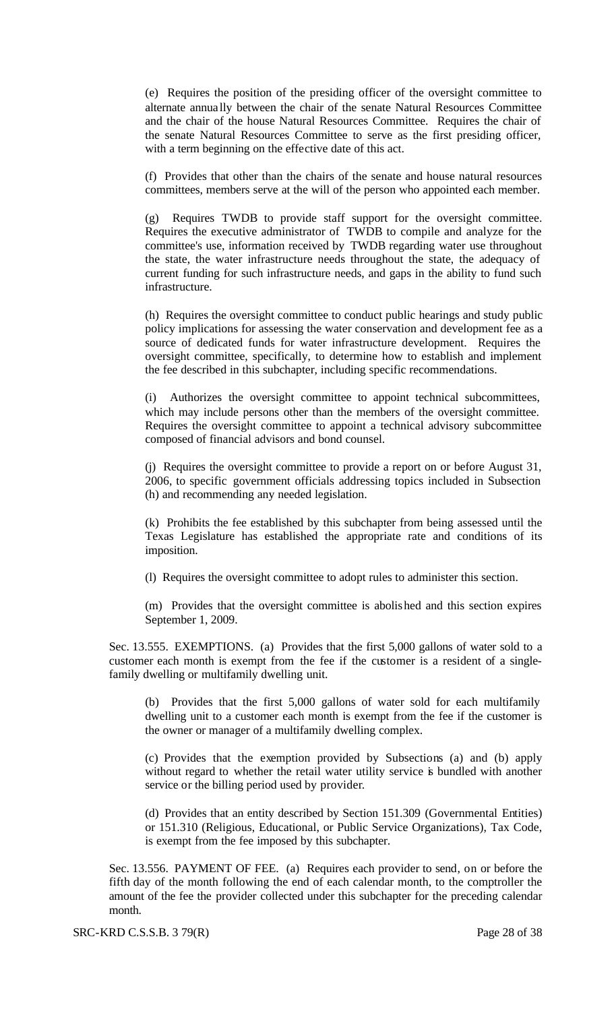(e) Requires the position of the presiding officer of the oversight committee to alternate annua lly between the chair of the senate Natural Resources Committee and the chair of the house Natural Resources Committee. Requires the chair of the senate Natural Resources Committee to serve as the first presiding officer, with a term beginning on the effective date of this act.

(f) Provides that other than the chairs of the senate and house natural resources committees, members serve at the will of the person who appointed each member.

(g) Requires TWDB to provide staff support for the oversight committee. Requires the executive administrator of TWDB to compile and analyze for the committee's use, information received by TWDB regarding water use throughout the state, the water infrastructure needs throughout the state, the adequacy of current funding for such infrastructure needs, and gaps in the ability to fund such infrastructure.

(h) Requires the oversight committee to conduct public hearings and study public policy implications for assessing the water conservation and development fee as a source of dedicated funds for water infrastructure development. Requires the oversight committee, specifically, to determine how to establish and implement the fee described in this subchapter, including specific recommendations.

(i) Authorizes the oversight committee to appoint technical subcommittees, which may include persons other than the members of the oversight committee. Requires the oversight committee to appoint a technical advisory subcommittee composed of financial advisors and bond counsel.

(j) Requires the oversight committee to provide a report on or before August 31, 2006, to specific government officials addressing topics included in Subsection (h) and recommending any needed legislation.

(k) Prohibits the fee established by this subchapter from being assessed until the Texas Legislature has established the appropriate rate and conditions of its imposition.

(l) Requires the oversight committee to adopt rules to administer this section.

(m) Provides that the oversight committee is abolished and this section expires September 1, 2009.

Sec. 13.555. EXEMPTIONS. (a) Provides that the first 5,000 gallons of water sold to a customer each month is exempt from the fee if the customer is a resident of a singlefamily dwelling or multifamily dwelling unit.

(b) Provides that the first 5,000 gallons of water sold for each multifamily dwelling unit to a customer each month is exempt from the fee if the customer is the owner or manager of a multifamily dwelling complex.

(c) Provides that the exemption provided by Subsections (a) and (b) apply without regard to whether the retail water utility service is bundled with another service or the billing period used by provider.

(d) Provides that an entity described by Section 151.309 (Governmental Entities) or 151.310 (Religious, Educational, or Public Service Organizations), Tax Code, is exempt from the fee imposed by this subchapter.

Sec. 13.556. PAYMENT OF FEE. (a) Requires each provider to send, on or before the fifth day of the month following the end of each calendar month, to the comptroller the amount of the fee the provider collected under this subchapter for the preceding calendar month.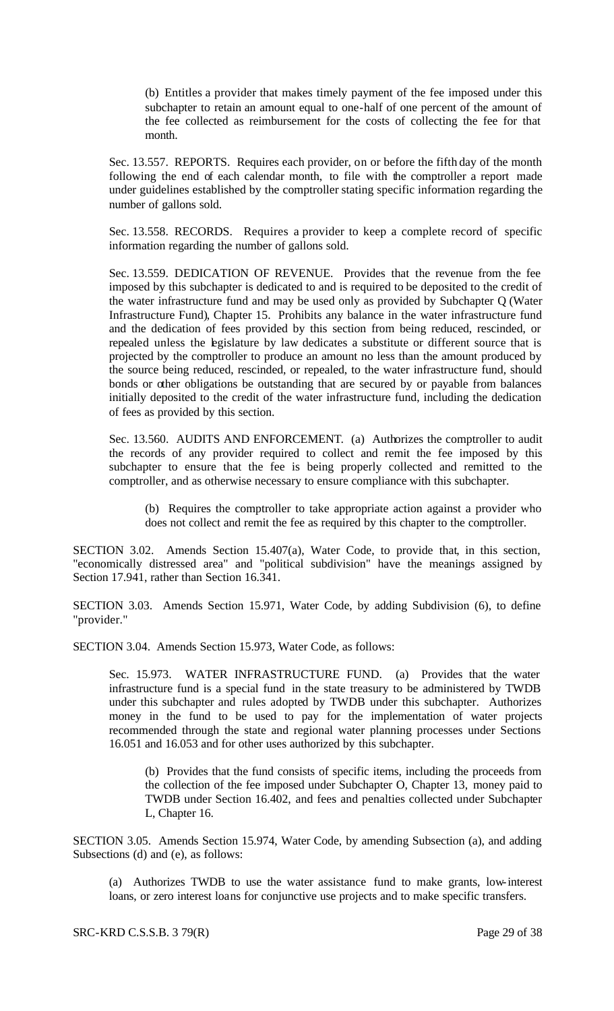(b) Entitles a provider that makes timely payment of the fee imposed under this subchapter to retain an amount equal to one-half of one percent of the amount of the fee collected as reimbursement for the costs of collecting the fee for that month.

Sec. 13.557. REPORTS. Requires each provider, on or before the fifth day of the month following the end of each calendar month, to file with the comptroller a report made under guidelines established by the comptroller stating specific information regarding the number of gallons sold.

Sec. 13.558. RECORDS. Requires a provider to keep a complete record of specific information regarding the number of gallons sold.

Sec. 13.559. DEDICATION OF REVENUE. Provides that the revenue from the fee imposed by this subchapter is dedicated to and is required to be deposited to the credit of the water infrastructure fund and may be used only as provided by Subchapter Q (Water Infrastructure Fund), Chapter 15. Prohibits any balance in the water infrastructure fund and the dedication of fees provided by this section from being reduced, rescinded, or repealed unless the legislature by law dedicates a substitute or different source that is projected by the comptroller to produce an amount no less than the amount produced by the source being reduced, rescinded, or repealed, to the water infrastructure fund, should bonds or other obligations be outstanding that are secured by or payable from balances initially deposited to the credit of the water infrastructure fund, including the dedication of fees as provided by this section.

Sec. 13.560. AUDITS AND ENFORCEMENT. (a) Authorizes the comptroller to audit the records of any provider required to collect and remit the fee imposed by this subchapter to ensure that the fee is being properly collected and remitted to the comptroller, and as otherwise necessary to ensure compliance with this subchapter.

(b) Requires the comptroller to take appropriate action against a provider who does not collect and remit the fee as required by this chapter to the comptroller.

SECTION 3.02. Amends Section 15.407(a), Water Code, to provide that, in this section, "economically distressed area" and "political subdivision" have the meanings assigned by Section 17.941, rather than Section 16.341.

SECTION 3.03. Amends Section 15.971, Water Code, by adding Subdivision (6), to define "provider."

SECTION 3.04. Amends Section 15.973, Water Code, as follows:

Sec. 15.973. WATER INFRASTRUCTURE FUND. (a) Provides that the water infrastructure fund is a special fund in the state treasury to be administered by TWDB under this subchapter and rules adopted by TWDB under this subchapter. Authorizes money in the fund to be used to pay for the implementation of water projects recommended through the state and regional water planning processes under Sections 16.051 and 16.053 and for other uses authorized by this subchapter.

(b) Provides that the fund consists of specific items, including the proceeds from the collection of the fee imposed under Subchapter O, Chapter 13, money paid to TWDB under Section 16.402, and fees and penalties collected under Subchapter L, Chapter 16.

SECTION 3.05. Amends Section 15.974, Water Code, by amending Subsection (a), and adding Subsections (d) and (e), as follows:

(a) Authorizes TWDB to use the water assistance fund to make grants, low-interest loans, or zero interest loans for conjunctive use projects and to make specific transfers.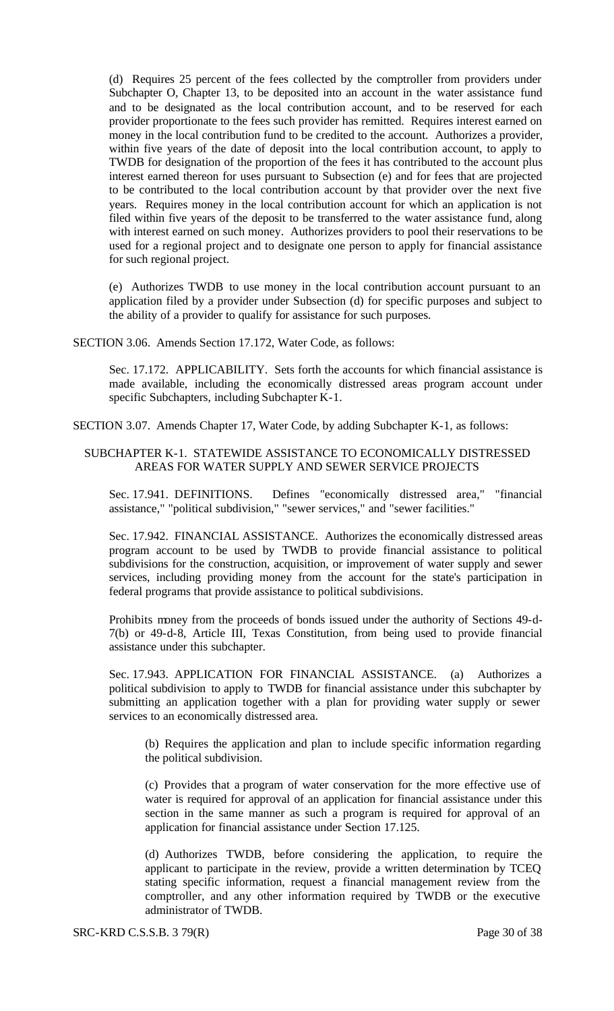(d) Requires 25 percent of the fees collected by the comptroller from providers under Subchapter O, Chapter 13, to be deposited into an account in the water assistance fund and to be designated as the local contribution account, and to be reserved for each provider proportionate to the fees such provider has remitted. Requires interest earned on money in the local contribution fund to be credited to the account. Authorizes a provider, within five years of the date of deposit into the local contribution account, to apply to TWDB for designation of the proportion of the fees it has contributed to the account plus interest earned thereon for uses pursuant to Subsection (e) and for fees that are projected to be contributed to the local contribution account by that provider over the next five years. Requires money in the local contribution account for which an application is not filed within five years of the deposit to be transferred to the water assistance fund, along with interest earned on such money. Authorizes providers to pool their reservations to be used for a regional project and to designate one person to apply for financial assistance for such regional project.

(e) Authorizes TWDB to use money in the local contribution account pursuant to an application filed by a provider under Subsection (d) for specific purposes and subject to the ability of a provider to qualify for assistance for such purposes.

SECTION 3.06. Amends Section 17.172, Water Code, as follows:

Sec. 17.172. APPLICABILITY. Sets forth the accounts for which financial assistance is made available, including the economically distressed areas program account under specific Subchapters, including Subchapter K-1.

SECTION 3.07. Amends Chapter 17, Water Code, by adding Subchapter K-1, as follows:

## SUBCHAPTER K-1. STATEWIDE ASSISTANCE TO ECONOMICALLY DISTRESSED AREAS FOR WATER SUPPLY AND SEWER SERVICE PROJECTS

Sec. 17.941. DEFINITIONS. Defines "economically distressed area," "financial assistance," "political subdivision," "sewer services," and "sewer facilities."

Sec. 17.942. FINANCIAL ASSISTANCE. Authorizes the economically distressed areas program account to be used by TWDB to provide financial assistance to political subdivisions for the construction, acquisition, or improvement of water supply and sewer services, including providing money from the account for the state's participation in federal programs that provide assistance to political subdivisions.

Prohibits money from the proceeds of bonds issued under the authority of Sections 49-d-7(b) or 49-d-8, Article III, Texas Constitution, from being used to provide financial assistance under this subchapter.

Sec. 17.943. APPLICATION FOR FINANCIAL ASSISTANCE. (a) Authorizes a political subdivision to apply to TWDB for financial assistance under this subchapter by submitting an application together with a plan for providing water supply or sewer services to an economically distressed area.

(b) Requires the application and plan to include specific information regarding the political subdivision.

(c) Provides that a program of water conservation for the more effective use of water is required for approval of an application for financial assistance under this section in the same manner as such a program is required for approval of an application for financial assistance under Section 17.125.

(d) Authorizes TWDB, before considering the application, to require the applicant to participate in the review, provide a written determination by TCEQ stating specific information, request a financial management review from the comptroller, and any other information required by TWDB or the executive administrator of TWDB.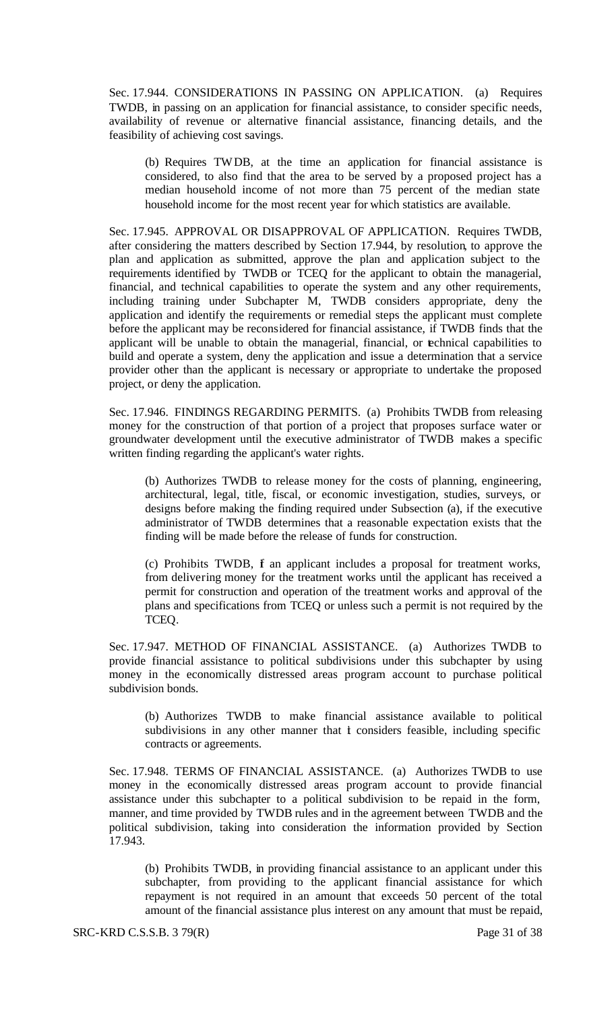Sec. 17.944. CONSIDERATIONS IN PASSING ON APPLICATION. (a) Requires TWDB, in passing on an application for financial assistance, to consider specific needs, availability of revenue or alternative financial assistance, financing details, and the feasibility of achieving cost savings.

(b) Requires TWDB, at the time an application for financial assistance is considered, to also find that the area to be served by a proposed project has a median household income of not more than 75 percent of the median state household income for the most recent year for which statistics are available.

Sec. 17.945. APPROVAL OR DISAPPROVAL OF APPLICATION. Requires TWDB, after considering the matters described by Section 17.944, by resolution, to approve the plan and application as submitted, approve the plan and application subject to the requirements identified by TWDB or TCEQ for the applicant to obtain the managerial, financial, and technical capabilities to operate the system and any other requirements, including training under Subchapter M, TWDB considers appropriate, deny the application and identify the requirements or remedial steps the applicant must complete before the applicant may be reconsidered for financial assistance, if TWDB finds that the applicant will be unable to obtain the managerial, financial, or technical capabilities to build and operate a system, deny the application and issue a determination that a service provider other than the applicant is necessary or appropriate to undertake the proposed project, or deny the application.

Sec. 17.946. FINDINGS REGARDING PERMITS. (a) Prohibits TWDB from releasing money for the construction of that portion of a project that proposes surface water or groundwater development until the executive administrator of TWDB makes a specific written finding regarding the applicant's water rights.

(b) Authorizes TWDB to release money for the costs of planning, engineering, architectural, legal, title, fiscal, or economic investigation, studies, surveys, or designs before making the finding required under Subsection (a), if the executive administrator of TWDB determines that a reasonable expectation exists that the finding will be made before the release of funds for construction.

(c) Prohibits TWDB, f an applicant includes a proposal for treatment works, from delivering money for the treatment works until the applicant has received a permit for construction and operation of the treatment works and approval of the plans and specifications from TCEQ or unless such a permit is not required by the TCEQ.

Sec. 17.947. METHOD OF FINANCIAL ASSISTANCE. (a) Authorizes TWDB to provide financial assistance to political subdivisions under this subchapter by using money in the economically distressed areas program account to purchase political subdivision bonds.

(b) Authorizes TWDB to make financial assistance available to political subdivisions in any other manner that it considers feasible, including specific contracts or agreements.

Sec. 17.948. TERMS OF FINANCIAL ASSISTANCE. (a) Authorizes TWDB to use money in the economically distressed areas program account to provide financial assistance under this subchapter to a political subdivision to be repaid in the form, manner, and time provided by TWDB rules and in the agreement between TWDB and the political subdivision, taking into consideration the information provided by Section 17.943.

(b) Prohibits TWDB, in providing financial assistance to an applicant under this subchapter, from providing to the applicant financial assistance for which repayment is not required in an amount that exceeds 50 percent of the total amount of the financial assistance plus interest on any amount that must be repaid,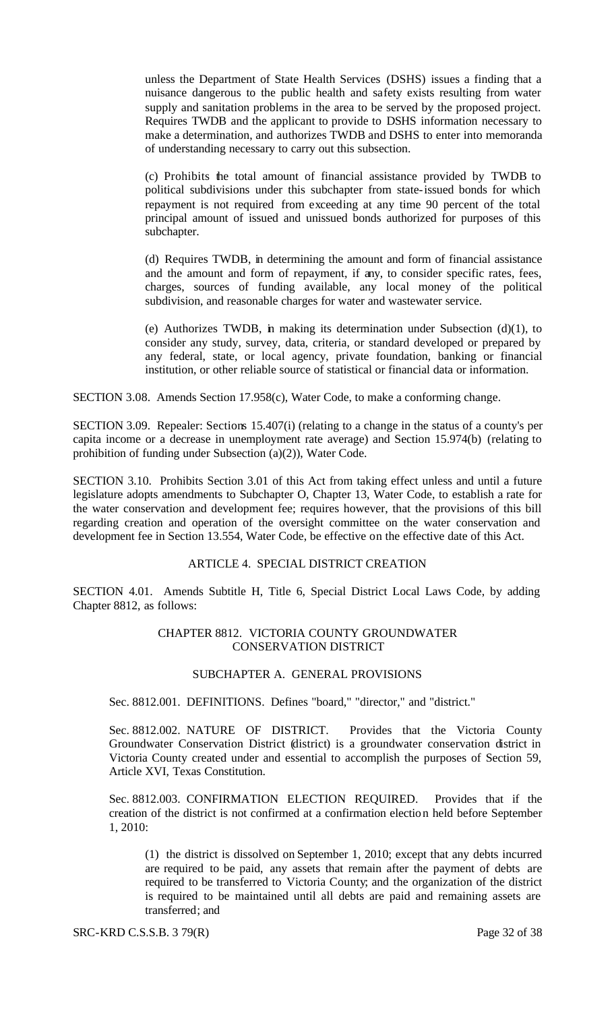unless the Department of State Health Services (DSHS) issues a finding that a nuisance dangerous to the public health and safety exists resulting from water supply and sanitation problems in the area to be served by the proposed project. Requires TWDB and the applicant to provide to DSHS information necessary to make a determination, and authorizes TWDB and DSHS to enter into memoranda of understanding necessary to carry out this subsection.

(c) Prohibits the total amount of financial assistance provided by TWDB to political subdivisions under this subchapter from state-issued bonds for which repayment is not required from exceeding at any time 90 percent of the total principal amount of issued and unissued bonds authorized for purposes of this subchapter.

(d) Requires TWDB, in determining the amount and form of financial assistance and the amount and form of repayment, if any, to consider specific rates, fees, charges, sources of funding available, any local money of the political subdivision, and reasonable charges for water and wastewater service.

(e) Authorizes TWDB, in making its determination under Subsection  $(d)(1)$ , to consider any study, survey, data, criteria, or standard developed or prepared by any federal, state, or local agency, private foundation, banking or financial institution, or other reliable source of statistical or financial data or information.

SECTION 3.08. Amends Section 17.958(c), Water Code, to make a conforming change.

SECTION 3.09. Repealer: Sections 15.407(i) (relating to a change in the status of a county's per capita income or a decrease in unemployment rate average) and Section 15.974(b) (relating to prohibition of funding under Subsection (a)(2)), Water Code.

SECTION 3.10. Prohibits Section 3.01 of this Act from taking effect unless and until a future legislature adopts amendments to Subchapter O, Chapter 13, Water Code, to establish a rate for the water conservation and development fee; requires however, that the provisions of this bill regarding creation and operation of the oversight committee on the water conservation and development fee in Section 13.554, Water Code, be effective on the effective date of this Act.

## ARTICLE 4. SPECIAL DISTRICT CREATION

SECTION 4.01. Amends Subtitle H, Title 6, Special District Local Laws Code, by adding Chapter 8812, as follows:

#### CHAPTER 8812. VICTORIA COUNTY GROUNDWATER CONSERVATION DISTRICT

### SUBCHAPTER A. GENERAL PROVISIONS

Sec. 8812.001. DEFINITIONS. Defines "board," "director," and "district."

Sec. 8812.002. NATURE OF DISTRICT. Provides that the Victoria County Groundwater Conservation District (district) is a groundwater conservation district in Victoria County created under and essential to accomplish the purposes of Section 59, Article XVI, Texas Constitution.

Sec. 8812.003. CONFIRMATION ELECTION REQUIRED. Provides that if the creation of the district is not confirmed at a confirmation election held before September 1, 2010:

(1) the district is dissolved on September 1, 2010; except that any debts incurred are required to be paid, any assets that remain after the payment of debts are required to be transferred to Victoria County; and the organization of the district is required to be maintained until all debts are paid and remaining assets are transferred; and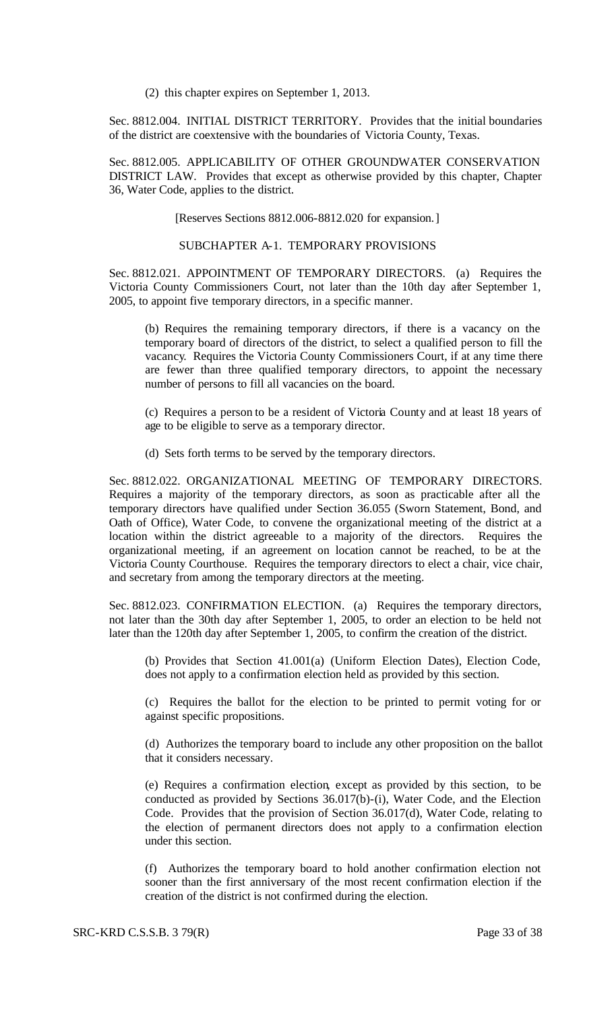(2) this chapter expires on September 1, 2013.

Sec. 8812.004. INITIAL DISTRICT TERRITORY. Provides that the initial boundaries of the district are coextensive with the boundaries of Victoria County, Texas.

Sec. 8812.005. APPLICABILITY OF OTHER GROUNDWATER CONSERVATION DISTRICT LAW. Provides that except as otherwise provided by this chapter, Chapter 36, Water Code, applies to the district.

[Reserves Sections 8812.006-8812.020 for expansion.]

#### SUBCHAPTER A-1. TEMPORARY PROVISIONS

Sec. 8812.021. APPOINTMENT OF TEMPORARY DIRECTORS. (a) Requires the Victoria County Commissioners Court, not later than the 10th day after September 1, 2005, to appoint five temporary directors, in a specific manner.

(b) Requires the remaining temporary directors, if there is a vacancy on the temporary board of directors of the district, to select a qualified person to fill the vacancy. Requires the Victoria County Commissioners Court, if at any time there are fewer than three qualified temporary directors, to appoint the necessary number of persons to fill all vacancies on the board.

(c) Requires a person to be a resident of Victoria County and at least 18 years of age to be eligible to serve as a temporary director.

(d) Sets forth terms to be served by the temporary directors.

Sec. 8812.022. ORGANIZATIONAL MEETING OF TEMPORARY DIRECTORS. Requires a majority of the temporary directors, as soon as practicable after all the temporary directors have qualified under Section 36.055 (Sworn Statement, Bond, and Oath of Office), Water Code, to convene the organizational meeting of the district at a location within the district agreeable to a majority of the directors. Requires the organizational meeting, if an agreement on location cannot be reached, to be at the Victoria County Courthouse. Requires the temporary directors to elect a chair, vice chair, and secretary from among the temporary directors at the meeting.

Sec. 8812.023. CONFIRMATION ELECTION. (a) Requires the temporary directors, not later than the 30th day after September 1, 2005, to order an election to be held not later than the 120th day after September 1, 2005, to confirm the creation of the district.

(b) Provides that Section 41.001(a) (Uniform Election Dates), Election Code, does not apply to a confirmation election held as provided by this section.

(c) Requires the ballot for the election to be printed to permit voting for or against specific propositions.

(d) Authorizes the temporary board to include any other proposition on the ballot that it considers necessary.

(e) Requires a confirmation election, except as provided by this section, to be conducted as provided by Sections 36.017(b)-(i), Water Code, and the Election Code. Provides that the provision of Section 36.017(d), Water Code, relating to the election of permanent directors does not apply to a confirmation election under this section.

(f) Authorizes the temporary board to hold another confirmation election not sooner than the first anniversary of the most recent confirmation election if the creation of the district is not confirmed during the election.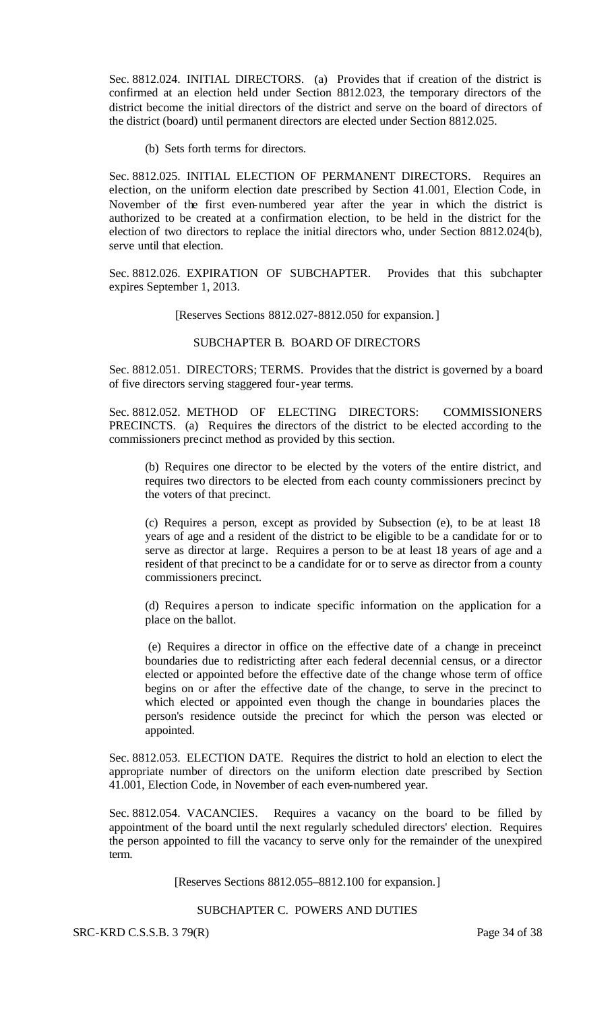Sec. 8812.024. INITIAL DIRECTORS. (a) Provides that if creation of the district is confirmed at an election held under Section 8812.023, the temporary directors of the district become the initial directors of the district and serve on the board of directors of the district (board) until permanent directors are elected under Section 8812.025.

(b) Sets forth terms for directors.

Sec. 8812.025. INITIAL ELECTION OF PERMANENT DIRECTORS. Requires an election, on the uniform election date prescribed by Section 41.001, Election Code, in November of the first even-numbered year after the year in which the district is authorized to be created at a confirmation election, to be held in the district for the election of two directors to replace the initial directors who, under Section 8812.024(b), serve until that election.

Sec. 8812.026. EXPIRATION OF SUBCHAPTER. Provides that this subchapter expires September 1, 2013.

[Reserves Sections 8812.027-8812.050 for expansion.]

## SUBCHAPTER B. BOARD OF DIRECTORS

Sec. 8812.051. DIRECTORS; TERMS. Provides that the district is governed by a board of five directors serving staggered four-year terms.

Sec. 8812.052. METHOD OF ELECTING DIRECTORS: COMMISSIONERS PRECINCTS. (a) Requires the directors of the district to be elected according to the commissioners precinct method as provided by this section.

(b) Requires one director to be elected by the voters of the entire district, and requires two directors to be elected from each county commissioners precinct by the voters of that precinct.

(c) Requires a person, except as provided by Subsection (e), to be at least 18 years of age and a resident of the district to be eligible to be a candidate for or to serve as director at large. Requires a person to be at least 18 years of age and a resident of that precinct to be a candidate for or to serve as director from a county commissioners precinct.

(d) Requires a person to indicate specific information on the application for a place on the ballot.

(e) Requires a director in office on the effective date of a change in preceinct boundaries due to redistricting after each federal decennial census, or a director elected or appointed before the effective date of the change whose term of office begins on or after the effective date of the change, to serve in the precinct to which elected or appointed even though the change in boundaries places the person's residence outside the precinct for which the person was elected or appointed.

Sec. 8812.053. ELECTION DATE. Requires the district to hold an election to elect the appropriate number of directors on the uniform election date prescribed by Section 41.001, Election Code, in November of each even-numbered year.

Sec. 8812.054. VACANCIES. Requires a vacancy on the board to be filled by appointment of the board until the next regularly scheduled directors' election. Requires the person appointed to fill the vacancy to serve only for the remainder of the unexpired term.

[Reserves Sections 8812.055–8812.100 for expansion.]

# SUBCHAPTER C. POWERS AND DUTIES

SRC-KRD C.S.S.B. 3 79(R) Page 34 of 38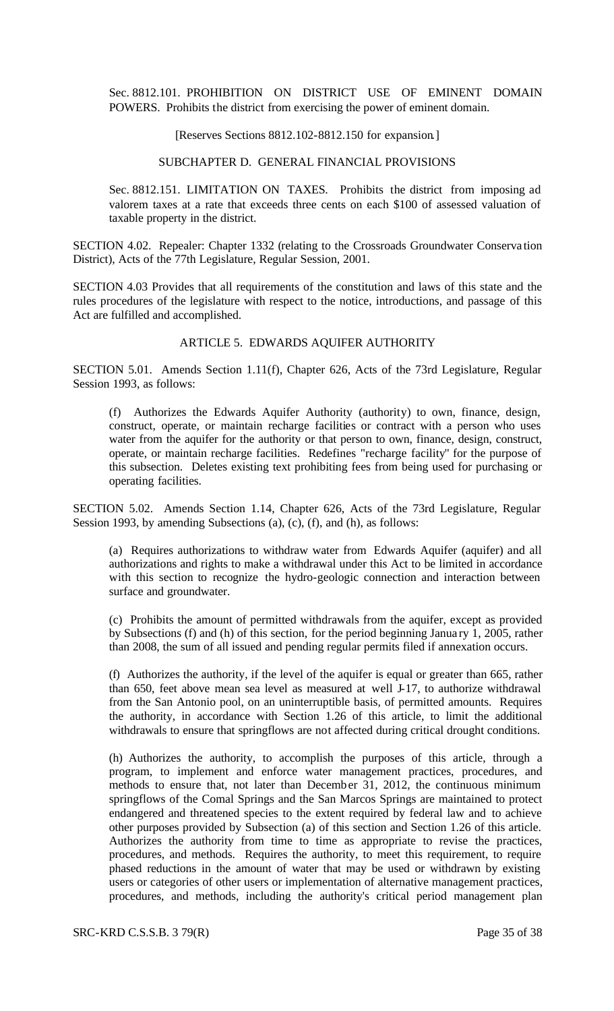Sec. 8812.101. PROHIBITION ON DISTRICT USE OF EMINENT DOMAIN POWERS. Prohibits the district from exercising the power of eminent domain.

#### [Reserves Sections 8812.102-8812.150 for expansion.]

#### SUBCHAPTER D. GENERAL FINANCIAL PROVISIONS

Sec. 8812.151. LIMITATION ON TAXES. Prohibits the district from imposing ad valorem taxes at a rate that exceeds three cents on each \$100 of assessed valuation of taxable property in the district.

SECTION 4.02. Repealer: Chapter 1332 (relating to the Crossroads Groundwater Conserva tion District), Acts of the 77th Legislature, Regular Session, 2001.

SECTION 4.03 Provides that all requirements of the constitution and laws of this state and the rules procedures of the legislature with respect to the notice, introductions, and passage of this Act are fulfilled and accomplished.

#### ARTICLE 5. EDWARDS AQUIFER AUTHORITY

SECTION 5.01. Amends Section 1.11(f), Chapter 626, Acts of the 73rd Legislature, Regular Session 1993, as follows:

(f) Authorizes the Edwards Aquifer Authority (authority) to own, finance, design, construct, operate, or maintain recharge facilities or contract with a person who uses water from the aquifer for the authority or that person to own, finance, design, construct, operate, or maintain recharge facilities. Redefines "recharge facility" for the purpose of this subsection. Deletes existing text prohibiting fees from being used for purchasing or operating facilities.

SECTION 5.02. Amends Section 1.14, Chapter 626, Acts of the 73rd Legislature, Regular Session 1993, by amending Subsections (a), (c), (f), and (h), as follows:

(a) Requires authorizations to withdraw water from Edwards Aquifer (aquifer) and all authorizations and rights to make a withdrawal under this Act to be limited in accordance with this section to recognize the hydro-geologic connection and interaction between surface and groundwater.

(c) Prohibits the amount of permitted withdrawals from the aquifer, except as provided by Subsections (f) and (h) of this section, for the period beginning Janua ry 1, 2005, rather than 2008, the sum of all issued and pending regular permits filed if annexation occurs.

(f) Authorizes the authority, if the level of the aquifer is equal or greater than 665, rather than 650, feet above mean sea level as measured at well J-17, to authorize withdrawal from the San Antonio pool, on an uninterruptible basis, of permitted amounts. Requires the authority, in accordance with Section 1.26 of this article, to limit the additional withdrawals to ensure that springflows are not affected during critical drought conditions.

(h) Authorizes the authority, to accomplish the purposes of this article, through a program, to implement and enforce water management practices, procedures, and methods to ensure that, not later than December 31, 2012, the continuous minimum springflows of the Comal Springs and the San Marcos Springs are maintained to protect endangered and threatened species to the extent required by federal law and to achieve other purposes provided by Subsection (a) of this section and Section 1.26 of this article. Authorizes the authority from time to time as appropriate to revise the practices, procedures, and methods. Requires the authority, to meet this requirement, to require phased reductions in the amount of water that may be used or withdrawn by existing users or categories of other users or implementation of alternative management practices, procedures, and methods, including the authority's critical period management plan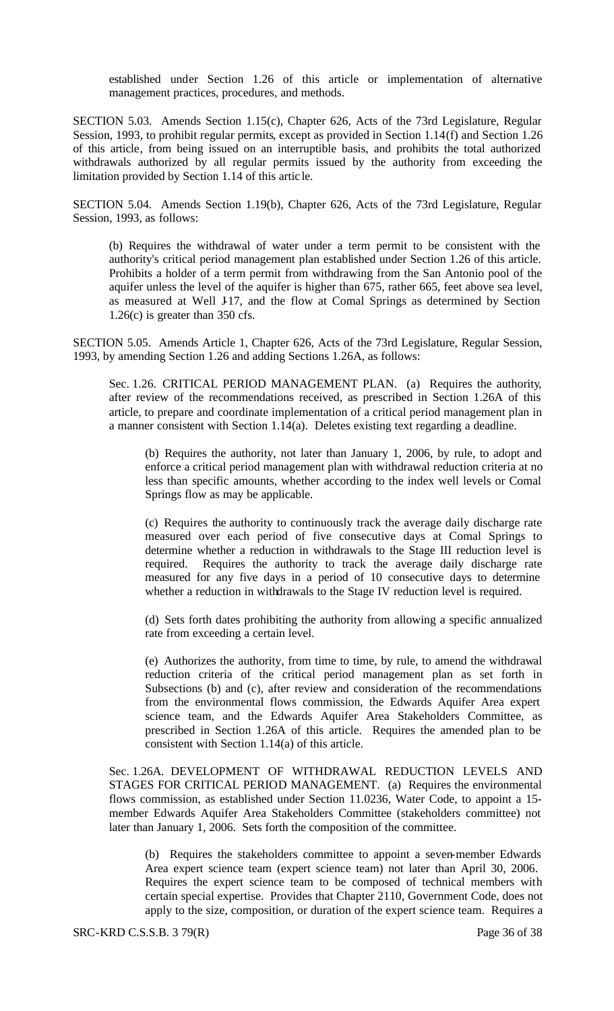established under Section 1.26 of this article or implementation of alternative management practices, procedures, and methods.

SECTION 5.03. Amends Section 1.15(c), Chapter 626, Acts of the 73rd Legislature, Regular Session, 1993, to prohibit regular permits, except as provided in Section 1.14(f) and Section 1.26 of this article, from being issued on an interruptible basis, and prohibits the total authorized withdrawals authorized by all regular permits issued by the authority from exceeding the limitation provided by Section 1.14 of this artic le.

SECTION 5.04. Amends Section 1.19(b), Chapter 626, Acts of the 73rd Legislature, Regular Session, 1993, as follows:

(b) Requires the withdrawal of water under a term permit to be consistent with the authority's critical period management plan established under Section 1.26 of this article. Prohibits a holder of a term permit from withdrawing from the San Antonio pool of the aquifer unless the level of the aquifer is higher than 675, rather 665, feet above sea level, as measured at Well J-17, and the flow at Comal Springs as determined by Section 1.26(c) is greater than 350 cfs.

SECTION 5.05. Amends Article 1, Chapter 626, Acts of the 73rd Legislature, Regular Session, 1993, by amending Section 1.26 and adding Sections 1.26A, as follows:

Sec. 1.26. CRITICAL PERIOD MANAGEMENT PLAN. (a) Requires the authority, after review of the recommendations received, as prescribed in Section 1.26A of this article, to prepare and coordinate implementation of a critical period management plan in a manner consistent with Section 1.14(a). Deletes existing text regarding a deadline.

(b) Requires the authority, not later than January 1, 2006, by rule, to adopt and enforce a critical period management plan with withdrawal reduction criteria at no less than specific amounts, whether according to the index well levels or Comal Springs flow as may be applicable.

(c) Requires the authority to continuously track the average daily discharge rate measured over each period of five consecutive days at Comal Springs to determine whether a reduction in withdrawals to the Stage III reduction level is required. Requires the authority to track the average daily discharge rate measured for any five days in a period of 10 consecutive days to determine whether a reduction in withdrawals to the Stage IV reduction level is required.

(d) Sets forth dates prohibiting the authority from allowing a specific annualized rate from exceeding a certain level.

(e) Authorizes the authority, from time to time, by rule, to amend the withdrawal reduction criteria of the critical period management plan as set forth in Subsections (b) and (c), after review and consideration of the recommendations from the environmental flows commission, the Edwards Aquifer Area expert science team, and the Edwards Aquifer Area Stakeholders Committee, as prescribed in Section 1.26A of this article. Requires the amended plan to be consistent with Section 1.14(a) of this article.

Sec. 1.26A. DEVELOPMENT OF WITHDRAWAL REDUCTION LEVELS AND STAGES FOR CRITICAL PERIOD MANAGEMENT. (a) Requires the environmental flows commission, as established under Section 11.0236, Water Code, to appoint a 15 member Edwards Aquifer Area Stakeholders Committee (stakeholders committee) not later than January 1, 2006. Sets forth the composition of the committee.

(b) Requires the stakeholders committee to appoint a seven-member Edwards Area expert science team (expert science team) not later than April 30, 2006. Requires the expert science team to be composed of technical members with certain special expertise. Provides that Chapter 2110, Government Code, does not apply to the size, composition, or duration of the expert science team. Requires a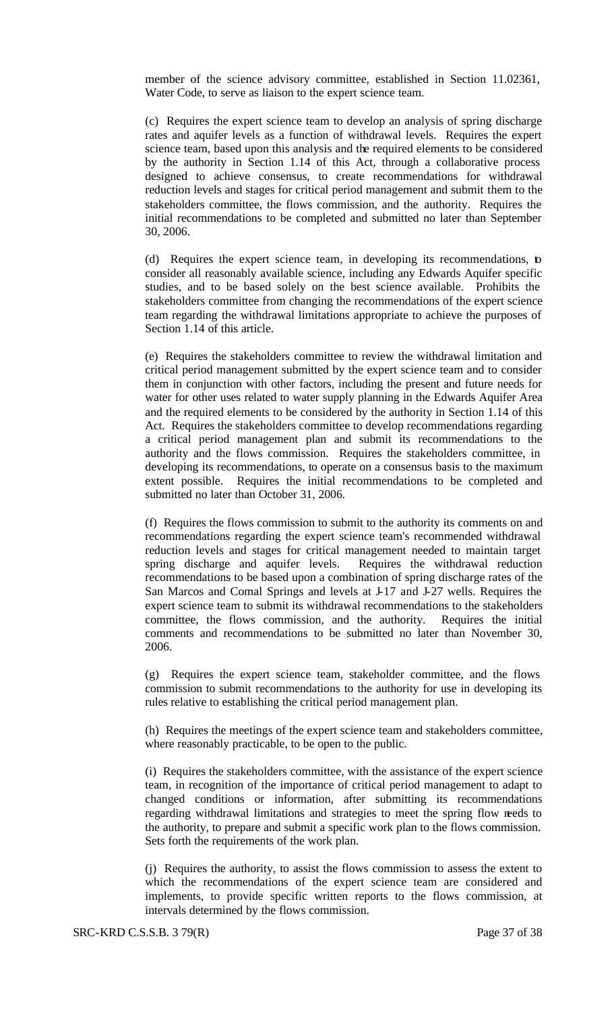member of the science advisory committee, established in Section 11.02361, Water Code, to serve as liaison to the expert science team.

(c) Requires the expert science team to develop an analysis of spring discharge rates and aquifer levels as a function of withdrawal levels. Requires the expert science team, based upon this analysis and the required elements to be considered by the authority in Section 1.14 of this Act, through a collaborative process designed to achieve consensus, to create recommendations for withdrawal reduction levels and stages for critical period management and submit them to the stakeholders committee, the flows commission, and the authority. Requires the initial recommendations to be completed and submitted no later than September 30, 2006.

(d) Requires the expert science team, in developing its recommendations, to consider all reasonably available science, including any Edwards Aquifer specific studies, and to be based solely on the best science available. Prohibits the stakeholders committee from changing the recommendations of the expert science team regarding the withdrawal limitations appropriate to achieve the purposes of Section 1.14 of this article.

(e) Requires the stakeholders committee to review the withdrawal limitation and critical period management submitted by the expert science team and to consider them in conjunction with other factors, including the present and future needs for water for other uses related to water supply planning in the Edwards Aquifer Area and the required elements to be considered by the authority in Section 1.14 of this Act. Requires the stakeholders committee to develop recommendations regarding a critical period management plan and submit its recommendations to the authority and the flows commission. Requires the stakeholders committee, in developing its recommendations, to operate on a consensus basis to the maximum extent possible. Requires the initial recommendations to be completed and submitted no later than October 31, 2006.

(f) Requires the flows commission to submit to the authority its comments on and recommendations regarding the expert science team's recommended withdrawal reduction levels and stages for critical management needed to maintain target spring discharge and aquifer levels. Requires the withdrawal reduction recommendations to be based upon a combination of spring discharge rates of the San Marcos and Comal Springs and levels at J-17 and J-27 wells. Requires the expert science team to submit its withdrawal recommendations to the stakeholders committee, the flows commission, and the authority. Requires the initial comments and recommendations to be submitted no later than November 30, 2006.

(g) Requires the expert science team, stakeholder committee, and the flows commission to submit recommendations to the authority for use in developing its rules relative to establishing the critical period management plan.

(h) Requires the meetings of the expert science team and stakeholders committee, where reasonably practicable, to be open to the public.

(i) Requires the stakeholders committee, with the assistance of the expert science team, in recognition of the importance of critical period management to adapt to changed conditions or information, after submitting its recommendations regarding withdrawal limitations and strategies to meet the spring flow needs to the authority, to prepare and submit a specific work plan to the flows commission. Sets forth the requirements of the work plan.

(j) Requires the authority, to assist the flows commission to assess the extent to which the recommendations of the expert science team are considered and implements, to provide specific written reports to the flows commission, at intervals determined by the flows commission.